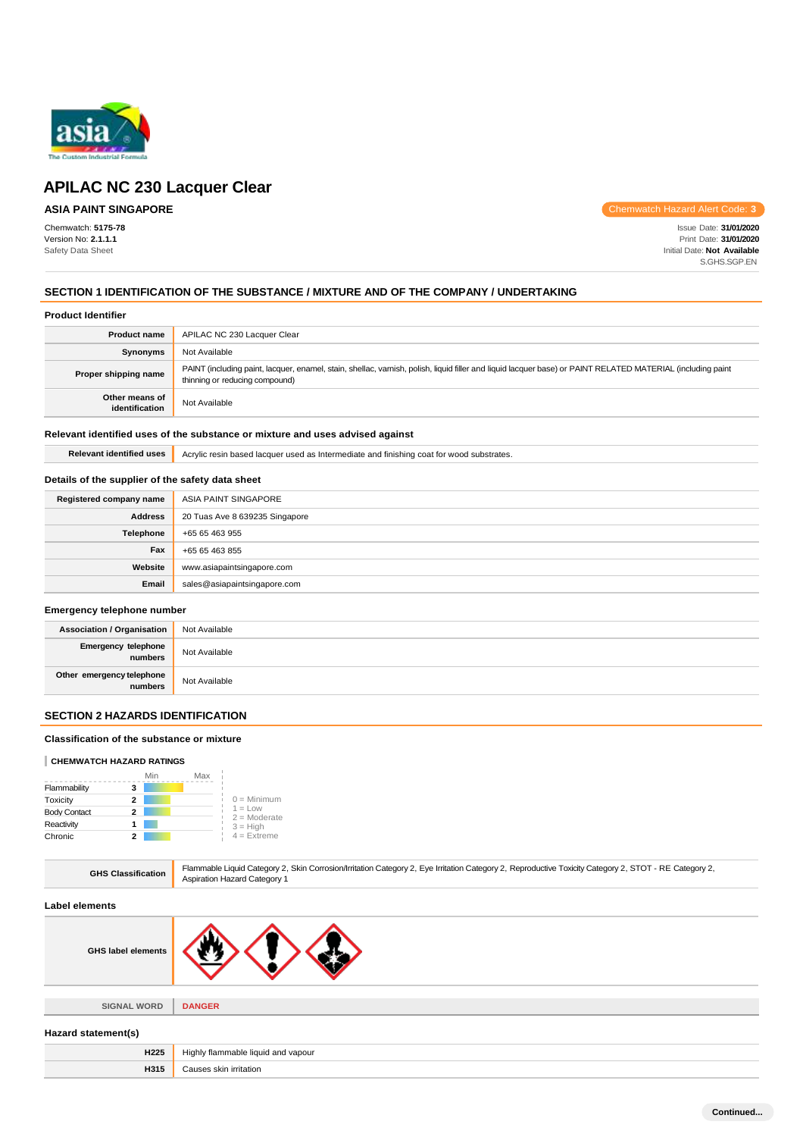

# **ASIA PAINT SINGAPORE**

Chemwatch: **5175-78** Version No: **2.1.1.1** Safety Data Sheet

Chemwatch Hazard Alert Code: **3**

Issue Date: **31/01/2020** Print Date: **31/01/2020** Initial Date: **Not Available** S.GHS.SGP.EN

## **SECTION 1 IDENTIFICATION OF THE SUBSTANCE / MIXTURE AND OF THE COMPANY / UNDERTAKING**

### **Product Identifier**

| <b>Product name</b>              | APILAC NC 230 Lacquer Clear                                                                                                                                                                   |
|----------------------------------|-----------------------------------------------------------------------------------------------------------------------------------------------------------------------------------------------|
| Synonyms                         | Not Available                                                                                                                                                                                 |
| Proper shipping name             | PAINT (including paint, lacquer, enamel, stain, shellac, varnish, polish, liquid filler and liquid lacquer base) or PAINT RELATED MATERIAL (including paint<br>thinning or reducing compound) |
| Other means of<br>identification | Not Available                                                                                                                                                                                 |

## **Relevant identified uses of the substance or mixture and uses advised against**

Relevant identified uses **Acrylic resin based lacquer used as Intermediate and finishing coat for wood substrates.** 

## **Details of the supplier of the safety data sheet**

| Registered company name | ASIA PAINT SINGAPORE           |
|-------------------------|--------------------------------|
| <b>Address</b>          | 20 Tuas Ave 8 639235 Singapore |
| Telephone               | +65 65 463 955                 |
| Fax                     | +65 65 463 855                 |
| Website                 | www.asiapaintsingapore.com     |
| Email                   | sales@asiapaintsingapore.com   |

## **Emergency telephone number**

| <b>Association / Organisation</b>    | Not Available |
|--------------------------------------|---------------|
| Emergency telephone<br>numbers       | Not Available |
| Other emergency telephone<br>numbers | Not Available |

## **SECTION 2 HAZARDS IDENTIFICATION**

## **Classification of the substance or mixture**

## **CHEMWATCH HAZARD RATINGS**

|                     |   | Min | Max |                              |
|---------------------|---|-----|-----|------------------------------|
| Flammability        | з |     |     |                              |
| Toxicity            | 2 |     |     | $0 =$ Minimum                |
| <b>Body Contact</b> | 2 |     |     | $1 = L$ ow<br>$2 =$ Moderate |
| Reactivity          |   |     |     | $3 = High$<br>$4$ = Extreme  |
| Chronic             |   |     |     |                              |

| Flammable Liquid Category 2, Skin Corrosion/Irritation Category 2, Eye Irritation Category 2, Reproductive Toxicity Category 2, STOT - RE Category 2,<br><b>GHS Classification</b><br><b>Aspiration Hazard Category 1</b> |
|---------------------------------------------------------------------------------------------------------------------------------------------------------------------------------------------------------------------------|
|---------------------------------------------------------------------------------------------------------------------------------------------------------------------------------------------------------------------------|

#### **Label elements**

| <b>GHS label elements</b> |  |  |
|---------------------------|--|--|
|                           |  |  |

**SIGNAL WORD DANGER**

#### **Hazard statement(s)**

| H <sub>225</sub> | y flammable liquid and vapour.<br>Hiahl∖<br>$\sim$ $\sim$ |
|------------------|-----------------------------------------------------------|
| H315             | Causes skin irritation                                    |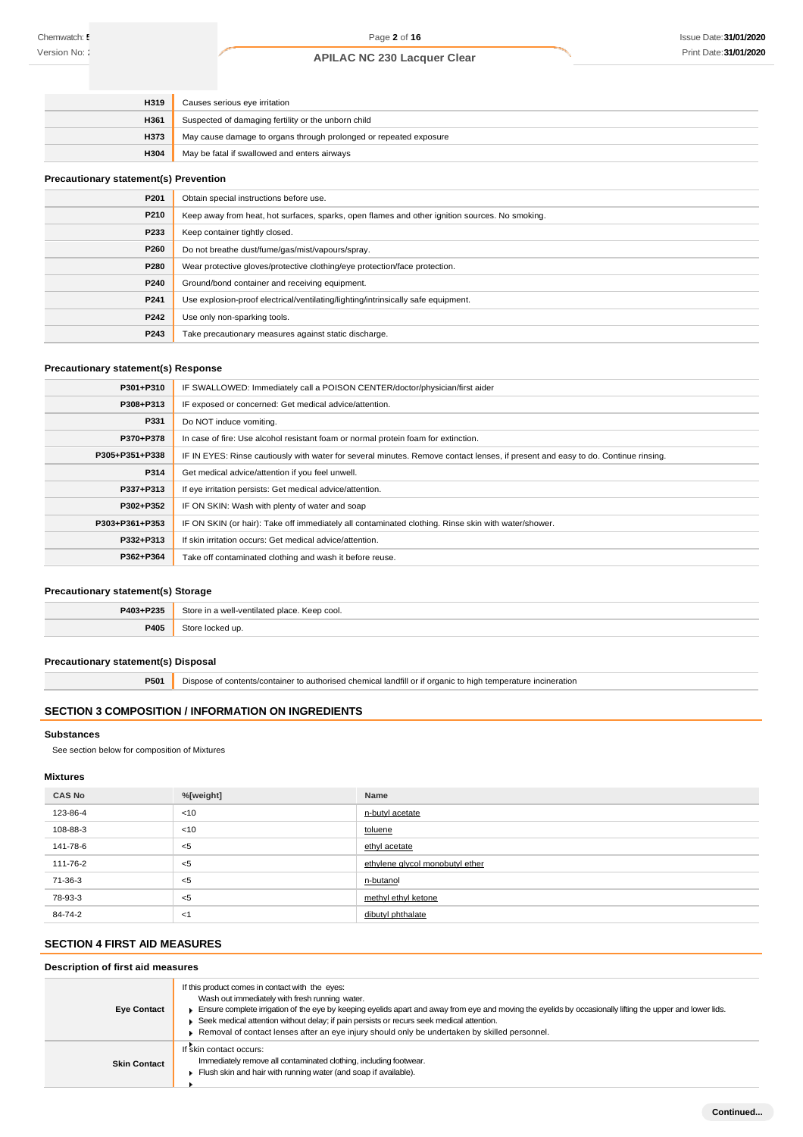| H319        | Causes serious eye irritation                                     |
|-------------|-------------------------------------------------------------------|
| <b>H361</b> | Suspected of damaging fertility or the unborn child               |
| <b>H373</b> | May cause damage to organs through prolonged or repeated exposure |
| <b>H304</b> | May be fatal if swallowed and enters airways                      |

## **Precautionary statement(s) Prevention**

| P201 | Obtain special instructions before use.                                                        |
|------|------------------------------------------------------------------------------------------------|
| P210 | Keep away from heat, hot surfaces, sparks, open flames and other ignition sources. No smoking. |
| P233 | Keep container tightly closed.                                                                 |
| P260 | Do not breathe dust/fume/gas/mist/vapours/spray.                                               |
| P280 | Wear protective gloves/protective clothing/eye protection/face protection.                     |
| P240 | Ground/bond container and receiving equipment.                                                 |
| P241 | Use explosion-proof electrical/ventilating/lighting/intrinsically safe equipment.              |
| P242 | Use only non-sparking tools.                                                                   |
| P243 | Take precautionary measures against static discharge.                                          |

## **Precautionary statement(s) Response**

| P301+P310      | IF SWALLOWED: Immediately call a POISON CENTER/doctor/physician/first aider                                                      |
|----------------|----------------------------------------------------------------------------------------------------------------------------------|
| P308+P313      | IF exposed or concerned: Get medical advice/attention.                                                                           |
| P331           | Do NOT induce vomiting.                                                                                                          |
| P370+P378      | In case of fire: Use alcohol resistant foam or normal protein foam for extinction.                                               |
| P305+P351+P338 | IF IN EYES: Rinse cautiously with water for several minutes. Remove contact lenses, if present and easy to do. Continue rinsing. |
| P314           | Get medical advice/attention if you feel unwell.                                                                                 |
| P337+P313      | If eye irritation persists: Get medical advice/attention.                                                                        |
| P302+P352      | IF ON SKIN: Wash with plenty of water and soap                                                                                   |
| P303+P361+P353 | IF ON SKIN (or hair): Take off immediately all contaminated clothing. Rinse skin with water/shower.                              |
| P332+P313      | If skin irritation occurs: Get medical advice/attention.                                                                         |
| P362+P364      | Take off contaminated clothing and wash it before reuse.                                                                         |

## **Precautionary statement(s) Storage**

| P403+P235 | Store in a well-ventilated place. Keep cool. |
|-----------|----------------------------------------------|
| P405      | Store<br>tocked up.                          |

## **Precautionary statement(s) Disposal**

**P501** Dispose of contents/container to authorised chemical landfill or if organic to high temperature incineration

# **SECTION 3 COMPOSITION / INFORMATION ON INGREDIENTS**

#### **Substances**

See section below for composition of Mixtures

## **Mixtures**

| <b>CAS No</b> | %[weight] | Name                            |
|---------------|-----------|---------------------------------|
| 123-86-4      | < 10      | n-butyl acetate                 |
| 108-88-3      | <10       | toluene                         |
| 141-78-6      | < 5       | ethyl acetate                   |
| 111-76-2      | $<$ 5     | ethylene glycol monobutyl ether |
| 71-36-3       | $<$ 5     | n-butanol                       |
| 78-93-3       | $<$ 5     | methyl ethyl ketone             |
| 84-74-2       | <1        | dibutyl phthalate               |

# **SECTION 4 FIRST AID MEASURES**

# **Description of first aid measures**

| <b>Eye Contact</b>  | If this product comes in contact with the eyes:<br>Wash out immediately with fresh running water.<br>Ensure complete irrigation of the eye by keeping eyelids apart and away from eye and moving the eyelids by occasionally lifting the upper and lower lids.<br>▶ Seek medical attention without delay; if pain persists or recurs seek medical attention.<br>▶ Removal of contact lenses after an eye injury should only be undertaken by skilled personnel. |
|---------------------|-----------------------------------------------------------------------------------------------------------------------------------------------------------------------------------------------------------------------------------------------------------------------------------------------------------------------------------------------------------------------------------------------------------------------------------------------------------------|
| <b>Skin Contact</b> | If skin contact occurs:<br>Immediately remove all contaminated clothing, including footwear.<br>Flush skin and hair with running water (and soap if available).                                                                                                                                                                                                                                                                                                 |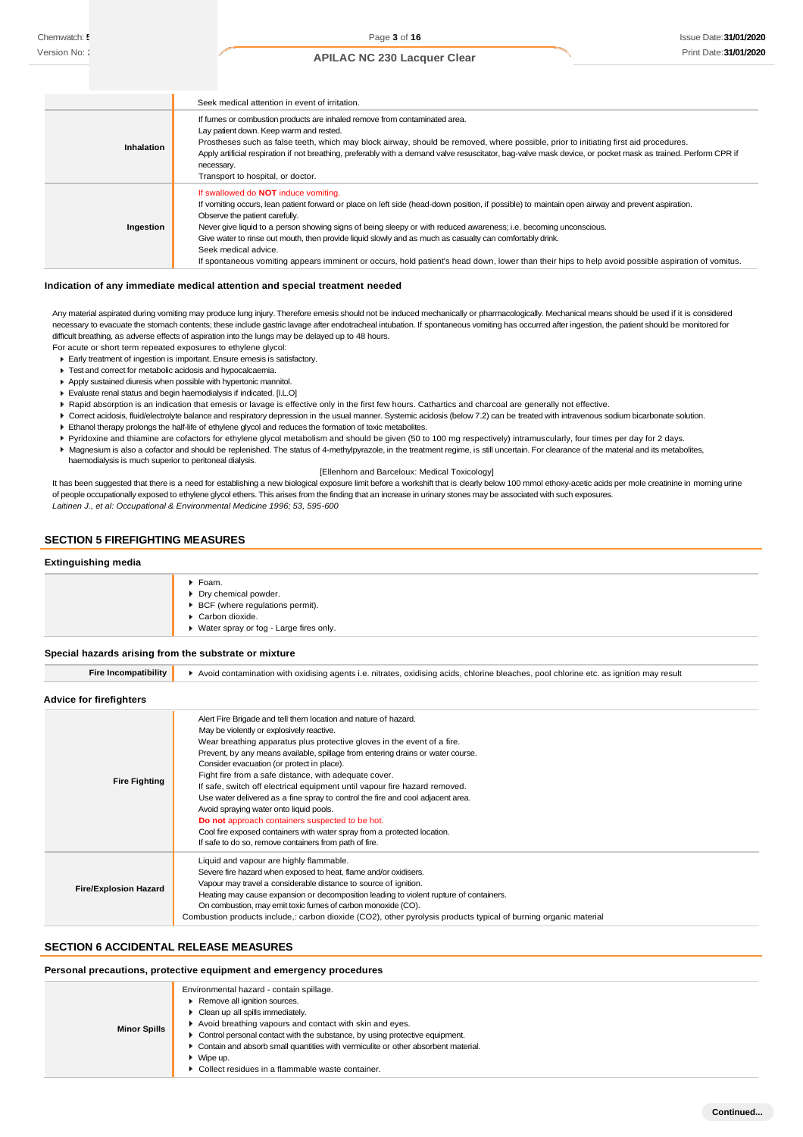|                   | Seek medical attention in event of irritation.                                                                                                                                                                                                                                                                                                                                                                                                                                                                                                                                                                                           |  |  |  |
|-------------------|------------------------------------------------------------------------------------------------------------------------------------------------------------------------------------------------------------------------------------------------------------------------------------------------------------------------------------------------------------------------------------------------------------------------------------------------------------------------------------------------------------------------------------------------------------------------------------------------------------------------------------------|--|--|--|
| <b>Inhalation</b> | If furnes or combustion products are inhaled remove from contaminated area.<br>Lay patient down. Keep warm and rested.<br>Prostheses such as false teeth, which may block airway, should be removed, where possible, prior to initiating first aid procedures.<br>Apply artificial respiration if not breathing, preferably with a demand valve resuscitator, bag-valve mask device, or pocket mask as trained. Perform CPR if<br>necessary.<br>Transport to hospital, or doctor.                                                                                                                                                        |  |  |  |
| Ingestion         | If swallowed do NOT induce vomiting.<br>If vomiting occurs, lean patient forward or place on left side (head-down position, if possible) to maintain open airway and prevent aspiration.<br>Observe the patient carefully.<br>Never give liquid to a person showing signs of being sleepy or with reduced awareness; i.e. becoming unconscious.<br>Give water to rinse out mouth, then provide liquid slowly and as much as casualty can comfortably drink.<br>Seek medical advice.<br>If spontaneous vomiting appears imminent or occurs, hold patient's head down, lower than their hips to help avoid possible aspiration of vomitus. |  |  |  |

#### **Indication of any immediate medical attention and special treatment needed**

Any material aspirated during vomiting may produce lung injury. Therefore emesis should not be induced mechanically or pharmacologically. Mechanical means should be used if it is considered necessary to evacuate the stomach contents; these include gastric lavage after endotracheal intubation. If spontaneous vomiting has occurred after ingestion, the patient should be monitored for difficult breathing, as adverse effects of aspiration into the lungs may be delayed up to 48 hours. For acute or short term repeated exposures to ethylene glycol:

- Early treatment of ingestion is important. Ensure emesis is satisfactory.
- Test and correct for metabolic acidosis and hypocalcaemia.
- Apply sustained diuresis when possible with hypertonic mannitol.
- Evaluate renal status and begin haemodialysis if indicated. [I.L.O]
- ▶ Rapid absorption is an indication that emesis or lavage is effective only in the first few hours. Cathartics and charcoal are generally not effective.
- ▶ Correct acidosis, fluid/electrolyte balance and respiratory depression in the usual manner. Systemic acidosis (below 7.2) can be treated with intravenous sodium bicarbonate solution.
- Ethanol therapy prolongs the half-life of ethylene glycol and reduces the formation of toxic metabolites.
- Pyridoxine and thiamine are cofactors for ethylene glycol metabolism and should be given (50 to 100 mg respectively) intramuscularly, four times per day for 2 days.
- Magnesium is also a cofactor and should be replenished. The status of 4-methylpyrazole, in the treatment regime, is still uncertain. For clearance of the material and its metabolites, haemodialysis is much superior to peritoneal dialysis.

[Ellenhorn and Barceloux: Medical Toxicology]

It has been suggested that there is a need for establishing a new biological exposure limit before a workshift that is clearly below 100 mmol ethoxy-acetic acids per mole creatinine in morning urine of people occupationally exposed to ethylene glycol ethers. This arises from the finding that an increase in urinary stones may be associated with such exposures. *Laitinen J., et al: Occupational & Environmental Medicine 1996; 53, 595-600*

## **SECTION 5 FIREFIGHTING MEASURES**

#### **Extinguishing media**

| $\blacktriangleright$ Foam.<br>Dry chemical powder.<br>▶ BCF (where regulations permit).<br>Carbon dioxide.<br>▶ Water spray or fog - Large fires only. |
|---------------------------------------------------------------------------------------------------------------------------------------------------------|
|---------------------------------------------------------------------------------------------------------------------------------------------------------|

#### **Special hazards arising from the substrate or mixture**

| <b>Fire Incompatibility</b>  | Avoid contamination with oxidising agents i.e. nitrates, oxidising acids, chlorine bleaches, pool chlorine etc. as ignition may result                                                                                                                                                                                                                                                                                                                                                                                                                                                                                                                                                                                                                                                 |  |  |  |
|------------------------------|----------------------------------------------------------------------------------------------------------------------------------------------------------------------------------------------------------------------------------------------------------------------------------------------------------------------------------------------------------------------------------------------------------------------------------------------------------------------------------------------------------------------------------------------------------------------------------------------------------------------------------------------------------------------------------------------------------------------------------------------------------------------------------------|--|--|--|
| Advice for firefighters      |                                                                                                                                                                                                                                                                                                                                                                                                                                                                                                                                                                                                                                                                                                                                                                                        |  |  |  |
| <b>Fire Fighting</b>         | Alert Fire Brigade and tell them location and nature of hazard.<br>May be violently or explosively reactive.<br>Wear breathing apparatus plus protective gloves in the event of a fire.<br>Prevent, by any means available, spillage from entering drains or water course.<br>Consider evacuation (or protect in place).<br>Fight fire from a safe distance, with adequate cover.<br>If safe, switch off electrical equipment until vapour fire hazard removed.<br>Use water delivered as a fine spray to control the fire and cool adjacent area.<br>Avoid spraying water onto liquid pools.<br>Do not approach containers suspected to be hot.<br>Cool fire exposed containers with water spray from a protected location.<br>If safe to do so, remove containers from path of fire. |  |  |  |
| <b>Fire/Explosion Hazard</b> | Liquid and vapour are highly flammable.<br>Severe fire hazard when exposed to heat, flame and/or oxidisers.<br>Vapour may travel a considerable distance to source of ignition.<br>Heating may cause expansion or decomposition leading to violent rupture of containers.<br>On combustion, may emit toxic fumes of carbon monoxide (CO).<br>Combustion products include,: carbon dioxide (CO2), other pyrolysis products typical of burning organic material                                                                                                                                                                                                                                                                                                                          |  |  |  |

#### **SECTION 6 ACCIDENTAL RELEASE MEASURES**

## **Personal precautions, protective equipment and emergency procedures**

| <b>Minor Spills</b> | Environmental hazard - contain spillage.<br>Remove all ignition sources.<br>• Clean up all spills immediately.<br>Avoid breathing vapours and contact with skin and eyes.<br>• Control personal contact with the substance, by using protective equipment.<br>• Contain and absorb small quantities with vermiculite or other absorbent material.<br>$\bullet$ Wipe up.<br>• Collect residues in a flammable waste container. |
|---------------------|-------------------------------------------------------------------------------------------------------------------------------------------------------------------------------------------------------------------------------------------------------------------------------------------------------------------------------------------------------------------------------------------------------------------------------|
|---------------------|-------------------------------------------------------------------------------------------------------------------------------------------------------------------------------------------------------------------------------------------------------------------------------------------------------------------------------------------------------------------------------------------------------------------------------|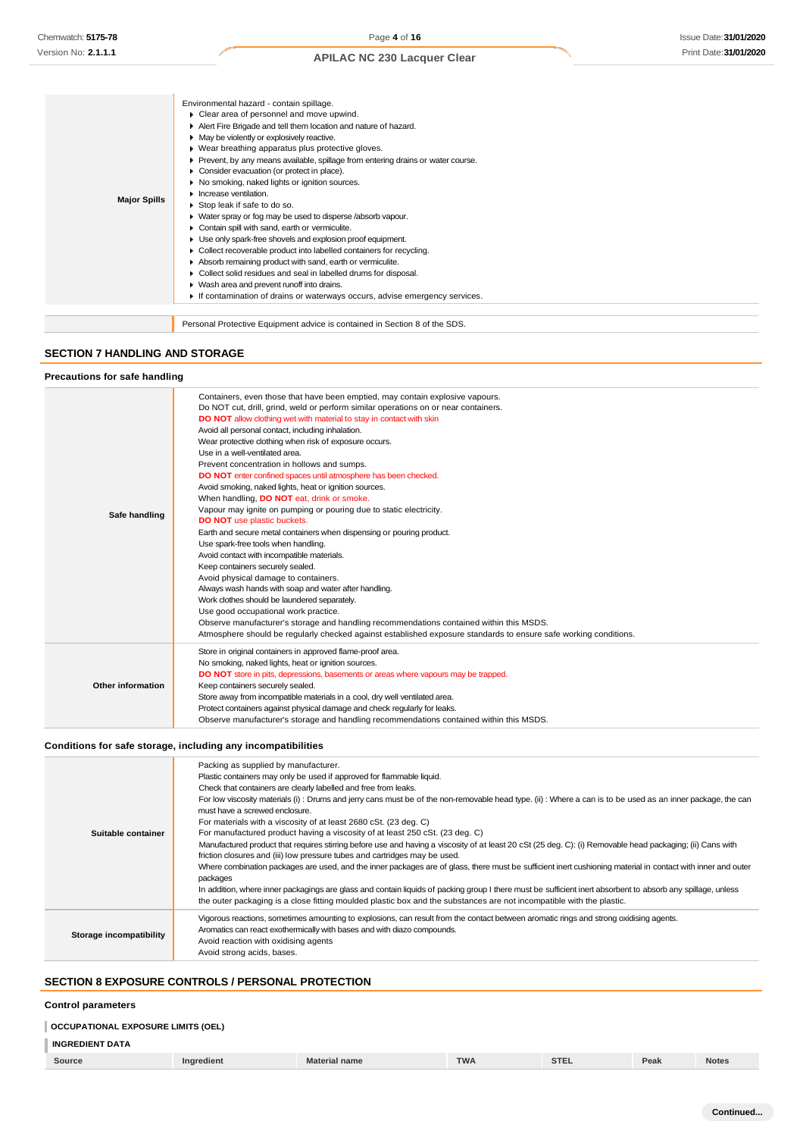|                     | Environmental hazard - contain spillage.                                          |
|---------------------|-----------------------------------------------------------------------------------|
|                     | Clear area of personnel and move upwind.                                          |
|                     | Alert Fire Brigade and tell them location and nature of hazard.                   |
|                     | • May be violently or explosively reactive.                                       |
|                     | ▶ Wear breathing apparatus plus protective gloves.                                |
|                     | ▶ Prevent, by any means available, spillage from entering drains or water course. |
|                     | Consider evacuation (or protect in place).                                        |
|                     | No smoking, naked lights or ignition sources.                                     |
|                     | $\blacktriangleright$ Increase ventilation.                                       |
| <b>Major Spills</b> | Stop leak if safe to do so.                                                       |
|                     | • Water spray or fog may be used to disperse /absorb vapour.                      |
|                     | Contain spill with sand, earth or vermiculite.                                    |
|                     | Use only spark-free shovels and explosion proof equipment.                        |
|                     | • Collect recoverable product into labelled containers for recycling.             |
|                     | Absorb remaining product with sand, earth or vermiculite.                         |
|                     | Collect solid residues and seal in labelled drums for disposal.                   |
|                     | ▶ Wash area and prevent runoff into drains.                                       |
|                     | If contamination of drains or waterways occurs, advise emergency services.        |
|                     |                                                                                   |
|                     | Personal Protective Equipment advice is contained in Section 8 of the SDS.        |

# **SECTION 7 HANDLING AND STORAGE**

## **Precautions for safe handling**

| Safe handling     | Containers, even those that have been emptied, may contain explosive vapours.<br>Do NOT cut, drill, grind, weld or perform similar operations on or near containers.<br>DO NOT allow clothing wet with material to stay in contact with skin<br>Avoid all personal contact, including inhalation.<br>Wear protective clothing when risk of exposure occurs.<br>Use in a well-ventilated area.<br>Prevent concentration in hollows and sumps.<br>DO NOT enter confined spaces until atmosphere has been checked.<br>Avoid smoking, naked lights, heat or ignition sources.<br>When handling, <b>DO NOT</b> eat, drink or smoke.<br>Vapour may ignite on pumping or pouring due to static electricity.<br>DO NOT use plastic buckets.<br>Earth and secure metal containers when dispensing or pouring product.<br>Use spark-free tools when handling.<br>Avoid contact with incompatible materials.<br>Keep containers securely sealed.<br>Avoid physical damage to containers.<br>Always wash hands with soap and water after handling.<br>Work clothes should be laundered separately.<br>Use good occupational work practice.<br>Observe manufacturer's storage and handling recommendations contained within this MSDS.<br>Atmosphere should be regularly checked against established exposure standards to ensure safe working conditions. |
|-------------------|-----------------------------------------------------------------------------------------------------------------------------------------------------------------------------------------------------------------------------------------------------------------------------------------------------------------------------------------------------------------------------------------------------------------------------------------------------------------------------------------------------------------------------------------------------------------------------------------------------------------------------------------------------------------------------------------------------------------------------------------------------------------------------------------------------------------------------------------------------------------------------------------------------------------------------------------------------------------------------------------------------------------------------------------------------------------------------------------------------------------------------------------------------------------------------------------------------------------------------------------------------------------------------------------------------------------------------------------------|
|                   |                                                                                                                                                                                                                                                                                                                                                                                                                                                                                                                                                                                                                                                                                                                                                                                                                                                                                                                                                                                                                                                                                                                                                                                                                                                                                                                                               |
| Other information | Store in original containers in approved flame-proof area.<br>No smoking, naked lights, heat or ignition sources.<br>DO NOT store in pits, depressions, basements or areas where vapours may be trapped.<br>Keep containers securely sealed.<br>Store away from incompatible materials in a cool, dry well ventilated area.<br>Protect containers against physical damage and check regularly for leaks.<br>Observe manufacturer's storage and handling recommendations contained within this MSDS.                                                                                                                                                                                                                                                                                                                                                                                                                                                                                                                                                                                                                                                                                                                                                                                                                                           |

## **Conditions for safe storage, including any incompatibilities**

| Suitable container      | Packing as supplied by manufacturer.<br>Plastic containers may only be used if approved for flammable liquid.<br>Check that containers are clearly labelled and free from leaks.<br>For low viscosity materials (i): Drums and jerry cans must be of the non-removable head type. (ii): Where a can is to be used as an inner package, the can<br>must have a screwed enclosure.<br>For materials with a viscosity of at least 2680 cSt. (23 deg. C)<br>For manufactured product having a viscosity of at least 250 cSt. (23 deg. C)<br>Manufactured product that requires stirring before use and having a viscosity of at least 20 cSt (25 deg. C): (i) Removable head packaging; (ii) Cans with<br>friction closures and (iii) low pressure tubes and cartridges may be used.<br>Where combination packages are used, and the inner packages are of glass, there must be sufficient inert cushioning material in contact with inner and outer<br>packages<br>In addition, where inner packagings are glass and contain liquids of packing group I there must be sufficient inert absorbent to absorb any spillage, unless<br>the outer packaging is a close fitting moulded plastic box and the substances are not incompatible with the plastic. |
|-------------------------|------------------------------------------------------------------------------------------------------------------------------------------------------------------------------------------------------------------------------------------------------------------------------------------------------------------------------------------------------------------------------------------------------------------------------------------------------------------------------------------------------------------------------------------------------------------------------------------------------------------------------------------------------------------------------------------------------------------------------------------------------------------------------------------------------------------------------------------------------------------------------------------------------------------------------------------------------------------------------------------------------------------------------------------------------------------------------------------------------------------------------------------------------------------------------------------------------------------------------------------------------|
| Storage incompatibility | Vigorous reactions, sometimes amounting to explosions, can result from the contact between aromatic rings and strong oxidising agents.<br>Aromatics can react exothermically with bases and with diazo compounds.<br>Avoid reaction with oxidising agents<br>Avoid strong acids, bases.                                                                                                                                                                                                                                                                                                                                                                                                                                                                                                                                                                                                                                                                                                                                                                                                                                                                                                                                                              |

# **SECTION 8 EXPOSURE CONTROLS / PERSONAL PROTECTION**

#### **Control parameters**

## **OCCUPATIONAL EXPOSURE LIMITS (OEL)**

# **INGREDIENT DATA**

| Source | Inaredient | Material name | <b>TWA</b> | <b>STEL</b> | Peak | Notes |
|--------|------------|---------------|------------|-------------|------|-------|
|        |            |               |            |             |      |       |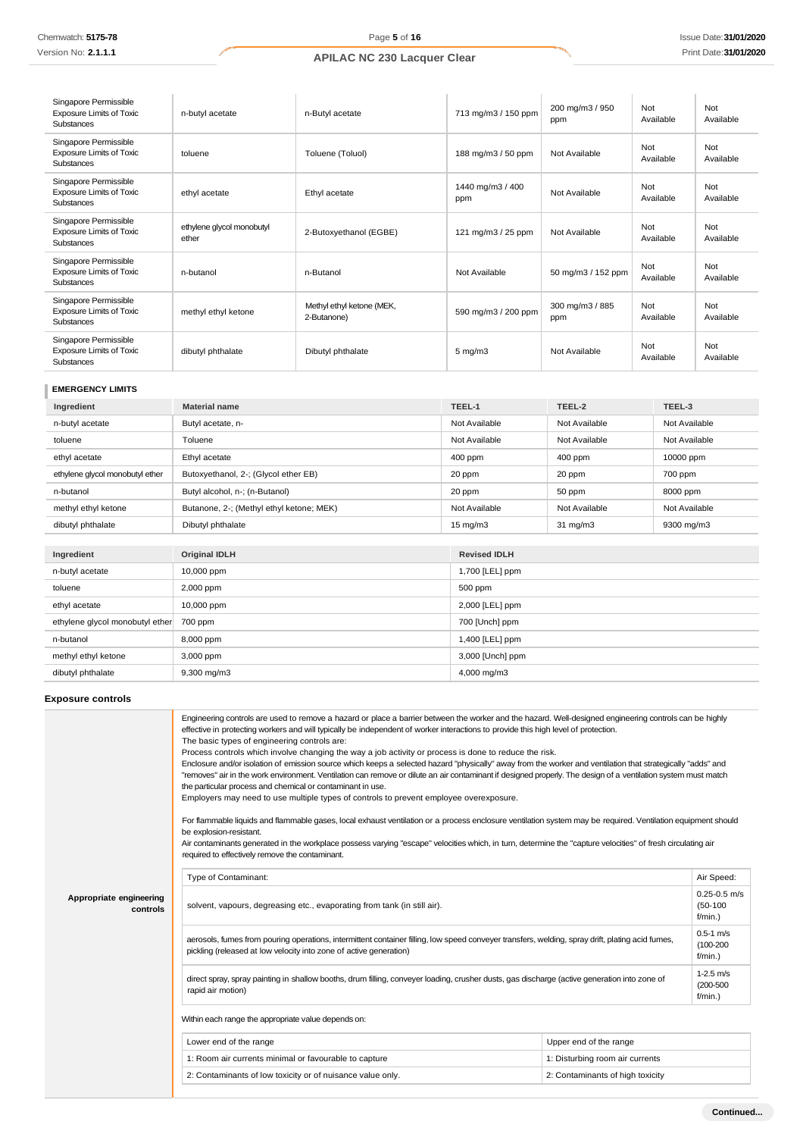| Singapore Permissible<br><b>Exposure Limits of Toxic</b><br>Substances        | n-butyl acetate                    | n-Butyl acetate                          | 713 mg/m3 / 150 ppm     | 200 mg/m3 / 950<br>ppm | Not<br>Available | Not<br>Available |
|-------------------------------------------------------------------------------|------------------------------------|------------------------------------------|-------------------------|------------------------|------------------|------------------|
| Singapore Permissible<br><b>Exposure Limits of Toxic</b><br>Substances        | toluene                            | Toluene (Toluol)                         | 188 mg/m3 / 50 ppm      | Not Available          | Not<br>Available | Not<br>Available |
| Singapore Permissible<br><b>Exposure Limits of Toxic</b><br>Substances        | ethyl acetate                      | Ethyl acetate                            | 1440 mg/m3 / 400<br>ppm | Not Available          | Not<br>Available | Not<br>Available |
| Singapore Permissible<br><b>Exposure Limits of Toxic</b><br>Substances        | ethylene glycol monobutyl<br>ether | 2-Butoxyethanol (EGBE)                   | 121 mg/m3 / 25 ppm      | Not Available          | Not<br>Available | Not<br>Available |
| Singapore Permissible<br><b>Exposure Limits of Toxic</b><br><b>Substances</b> | n-butanol                          | n-Butanol                                | Not Available           | 50 mg/m3 / 152 ppm     | Not<br>Available | Not<br>Available |
| Singapore Permissible<br><b>Exposure Limits of Toxic</b><br>Substances        | methyl ethyl ketone                | Methyl ethyl ketone (MEK,<br>2-Butanone) | 590 mg/m3 / 200 ppm     | 300 mg/m3 / 885<br>ppm | Not<br>Available | Not<br>Available |
| Singapore Permissible<br><b>Exposure Limits of Toxic</b><br>Substances        | dibutyl phthalate                  | Dibutyl phthalate                        | $5$ mg/m $3$            | Not Available          | Not<br>Available | Not<br>Available |

## **EMERGENCY LIMITS**

| Ingredient                      | <b>Material name</b>                     | TEEL-1            | TEEL-2            | TEEL-3        |
|---------------------------------|------------------------------------------|-------------------|-------------------|---------------|
| n-butyl acetate                 | Butyl acetate, n-                        | Not Available     | Not Available     | Not Available |
| toluene                         | Toluene                                  | Not Available     | Not Available     | Not Available |
| ethyl acetate                   | Ethyl acetate                            | 400 ppm           | $400$ ppm         | 10000 ppm     |
| ethylene glycol monobutyl ether | Butoxyethanol, 2-; (Glycol ether EB)     | 20 ppm            | 20 ppm            | 700 ppm       |
| n-butanol                       | Butyl alcohol, n-; (n-Butanol)           | 20 ppm            | 50 ppm            | 8000 ppm      |
| methyl ethyl ketone             | Butanone, 2-; (Methyl ethyl ketone; MEK) | Not Available     | Not Available     | Not Available |
| dibutyl phthalate               | Dibutyl phthalate                        | $15 \text{ mg/m}$ | $31 \text{ mg/m}$ | 9300 mg/m3    |

| Ingredient                      | <b>Original IDLH</b> | <b>Revised IDLH</b> |
|---------------------------------|----------------------|---------------------|
| n-butyl acetate                 | 10,000 ppm           | 1,700 [LEL] ppm     |
| toluene                         | 2,000 ppm            | 500 ppm             |
| ethyl acetate                   | 10,000 ppm           | 2,000 [LEL] ppm     |
| ethylene glycol monobutyl ether | 700 ppm              | 700 [Unch] ppm      |
| n-butanol                       | 8,000 ppm            | 1,400 [LEL] ppm     |
| methyl ethyl ketone             | 3,000 ppm            | 3,000 [Unch] ppm    |
| dibutyl phthalate               | $9,300$ mg/m $3$     | 4,000 mg/m3         |

# **Exposure controls**

|                                     | Engineering controls are used to remove a hazard or place a barrier between the worker and the hazard. Well-designed engineering controls can be highly<br>effective in protecting workers and will typically be independent of worker interactions to provide this high level of protection.<br>The basic types of engineering controls are:<br>Process controls which involve changing the way a job activity or process is done to reduce the risk.<br>Enclosure and/or isolation of emission source which keeps a selected hazard "physically" away from the worker and ventilation that strategically "adds" and<br>"removes" air in the work environment. Ventilation can remove or dilute an air contaminant if designed properly. The design of a ventilation system must match<br>the particular process and chemical or contaminant in use.<br>Employers may need to use multiple types of controls to prevent employee overexposure.<br>For flammable liquids and flammable gases, local exhaust ventilation or a process enclosure ventilation system may be required. Ventilation equipment should<br>be explosion-resistant.<br>Air contaminants generated in the workplace possess varying "escape" velocities which, in turn, determine the "capture velocities" of fresh circulating air<br>required to effectively remove the contaminant. |                                  |                                              |
|-------------------------------------|--------------------------------------------------------------------------------------------------------------------------------------------------------------------------------------------------------------------------------------------------------------------------------------------------------------------------------------------------------------------------------------------------------------------------------------------------------------------------------------------------------------------------------------------------------------------------------------------------------------------------------------------------------------------------------------------------------------------------------------------------------------------------------------------------------------------------------------------------------------------------------------------------------------------------------------------------------------------------------------------------------------------------------------------------------------------------------------------------------------------------------------------------------------------------------------------------------------------------------------------------------------------------------------------------------------------------------------------------------------|----------------------------------|----------------------------------------------|
|                                     | Type of Contaminant:                                                                                                                                                                                                                                                                                                                                                                                                                                                                                                                                                                                                                                                                                                                                                                                                                                                                                                                                                                                                                                                                                                                                                                                                                                                                                                                                         |                                  | Air Speed:                                   |
| Appropriate engineering<br>controls | solvent, vapours, degreasing etc., evaporating from tank (in still air).                                                                                                                                                                                                                                                                                                                                                                                                                                                                                                                                                                                                                                                                                                                                                                                                                                                                                                                                                                                                                                                                                                                                                                                                                                                                                     |                                  | $0.25 - 0.5$ m/s<br>$(50-100)$<br>$f/min.$ ) |
|                                     | aerosols, fumes from pouring operations, intermittent container filling, low speed conveyer transfers, welding, spray drift, plating acid fumes,<br>pickling (released at low velocity into zone of active generation)                                                                                                                                                                                                                                                                                                                                                                                                                                                                                                                                                                                                                                                                                                                                                                                                                                                                                                                                                                                                                                                                                                                                       |                                  | $0.5 - 1$ m/s<br>$(100 - 200)$<br>$f/min.$ ) |
|                                     | direct spray, spray painting in shallow booths, drum filling, conveyer loading, crusher dusts, gas discharge (active generation into zone of<br>rapid air motion)                                                                                                                                                                                                                                                                                                                                                                                                                                                                                                                                                                                                                                                                                                                                                                                                                                                                                                                                                                                                                                                                                                                                                                                            |                                  | $1-2.5$ m/s<br>$(200 - 500)$<br>$f/min.$ )   |
|                                     | Within each range the appropriate value depends on:                                                                                                                                                                                                                                                                                                                                                                                                                                                                                                                                                                                                                                                                                                                                                                                                                                                                                                                                                                                                                                                                                                                                                                                                                                                                                                          |                                  |                                              |
|                                     | Lower end of the range                                                                                                                                                                                                                                                                                                                                                                                                                                                                                                                                                                                                                                                                                                                                                                                                                                                                                                                                                                                                                                                                                                                                                                                                                                                                                                                                       | Upper end of the range           |                                              |
|                                     | 1: Room air currents minimal or favourable to capture                                                                                                                                                                                                                                                                                                                                                                                                                                                                                                                                                                                                                                                                                                                                                                                                                                                                                                                                                                                                                                                                                                                                                                                                                                                                                                        | 1: Disturbing room air currents  |                                              |
|                                     | 2: Contaminants of low toxicity or of nuisance value only.                                                                                                                                                                                                                                                                                                                                                                                                                                                                                                                                                                                                                                                                                                                                                                                                                                                                                                                                                                                                                                                                                                                                                                                                                                                                                                   | 2: Contaminants of high toxicity |                                              |
|                                     |                                                                                                                                                                                                                                                                                                                                                                                                                                                                                                                                                                                                                                                                                                                                                                                                                                                                                                                                                                                                                                                                                                                                                                                                                                                                                                                                                              |                                  |                                              |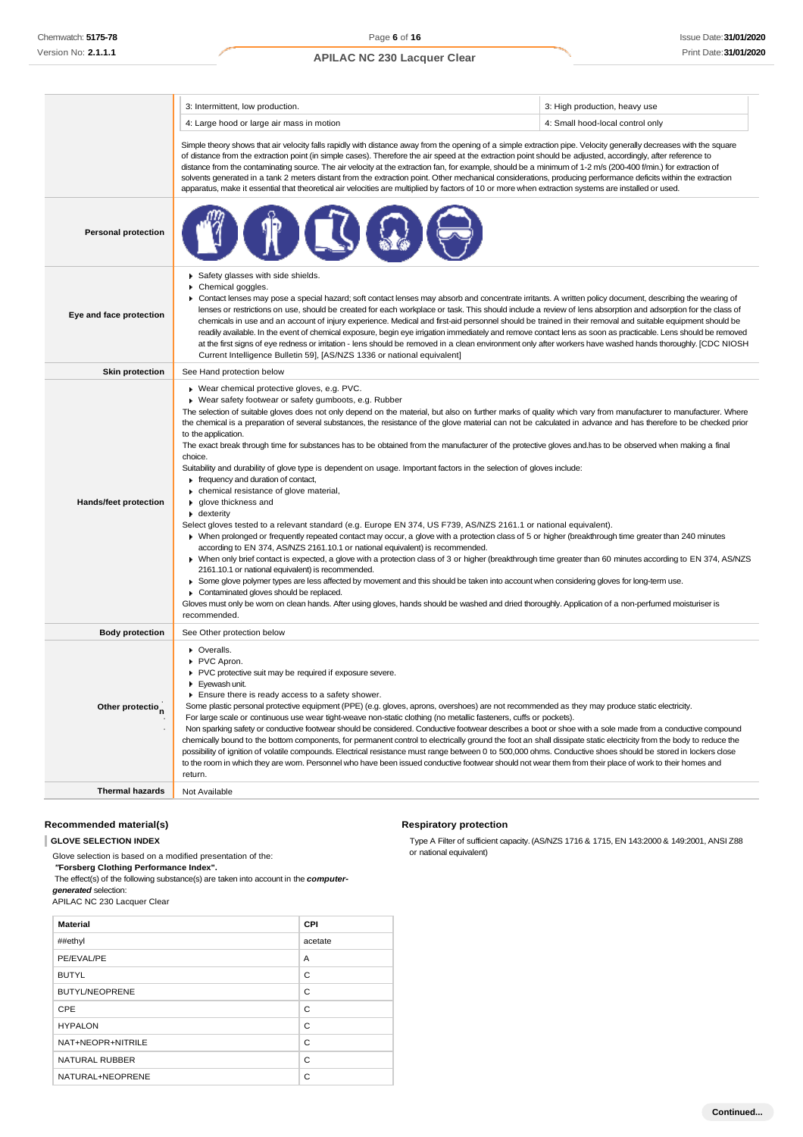|                              | 3: Intermittent, low production.                                                                                                                                                                                                                                                                                                                                                                                                                                                                                                                                                                                                                                                                                                                                                                                                                                                                                                                                                                                                                                                                                                                                                                                                                                                                                                                                                                                                                                                                                                                                                                                                                                                                                                                                                                                                                                             | 3: High production, heavy use    |  |
|------------------------------|------------------------------------------------------------------------------------------------------------------------------------------------------------------------------------------------------------------------------------------------------------------------------------------------------------------------------------------------------------------------------------------------------------------------------------------------------------------------------------------------------------------------------------------------------------------------------------------------------------------------------------------------------------------------------------------------------------------------------------------------------------------------------------------------------------------------------------------------------------------------------------------------------------------------------------------------------------------------------------------------------------------------------------------------------------------------------------------------------------------------------------------------------------------------------------------------------------------------------------------------------------------------------------------------------------------------------------------------------------------------------------------------------------------------------------------------------------------------------------------------------------------------------------------------------------------------------------------------------------------------------------------------------------------------------------------------------------------------------------------------------------------------------------------------------------------------------------------------------------------------------|----------------------------------|--|
|                              | 4: Large hood or large air mass in motion                                                                                                                                                                                                                                                                                                                                                                                                                                                                                                                                                                                                                                                                                                                                                                                                                                                                                                                                                                                                                                                                                                                                                                                                                                                                                                                                                                                                                                                                                                                                                                                                                                                                                                                                                                                                                                    | 4: Small hood-local control only |  |
|                              | Simple theory shows that air velocity falls rapidly with distance away from the opening of a simple extraction pipe. Velocity generally decreases with the square<br>of distance from the extraction point (in simple cases). Therefore the air speed at the extraction point should be adjusted, accordingly, after reference to<br>distance from the contaminating source. The air velocity at the extraction fan, for example, should be a minimum of 1-2 m/s (200-400 f/min.) for extraction of<br>solvents generated in a tank 2 meters distant from the extraction point. Other mechanical considerations, producing performance deficits within the extraction<br>apparatus, make it essential that theoretical air velocities are multiplied by factors of 10 or more when extraction systems are installed or used.                                                                                                                                                                                                                                                                                                                                                                                                                                                                                                                                                                                                                                                                                                                                                                                                                                                                                                                                                                                                                                                 |                                  |  |
| <b>Personal protection</b>   |                                                                                                                                                                                                                                                                                                                                                                                                                                                                                                                                                                                                                                                                                                                                                                                                                                                                                                                                                                                                                                                                                                                                                                                                                                                                                                                                                                                                                                                                                                                                                                                                                                                                                                                                                                                                                                                                              |                                  |  |
| Eye and face protection      | Safety glasses with side shields.<br>Chemical goggles.<br>▶ Contact lenses may pose a special hazard; soft contact lenses may absorb and concentrate irritants. A written policy document, describing the wearing of<br>lenses or restrictions on use, should be created for each workplace or task. This should include a review of lens absorption and adsorption for the class of<br>chemicals in use and an account of injury experience. Medical and first-aid personnel should be trained in their removal and suitable equipment should be<br>readily available. In the event of chemical exposure, begin eye irrigation immediately and remove contact lens as soon as practicable. Lens should be removed<br>at the first signs of eye redness or irritation - lens should be removed in a clean environment only after workers have washed hands thoroughly. [CDC NIOSH<br>Current Intelligence Bulletin 59], [AS/NZS 1336 or national equivalent]                                                                                                                                                                                                                                                                                                                                                                                                                                                                                                                                                                                                                                                                                                                                                                                                                                                                                                                 |                                  |  |
| <b>Skin protection</b>       | See Hand protection below                                                                                                                                                                                                                                                                                                                                                                                                                                                                                                                                                                                                                                                                                                                                                                                                                                                                                                                                                                                                                                                                                                                                                                                                                                                                                                                                                                                                                                                                                                                                                                                                                                                                                                                                                                                                                                                    |                                  |  |
| Hands/feet protection        | ▶ Wear chemical protective gloves, e.g. PVC.<br>▶ Wear safety footwear or safety gumboots, e.g. Rubber<br>The selection of suitable gloves does not only depend on the material, but also on further marks of quality which vary from manufacturer to manufacturer. Where<br>the chemical is a preparation of several substances, the resistance of the glove material can not be calculated in advance and has therefore to be checked prior<br>to the application.<br>The exact break through time for substances has to be obtained from the manufacturer of the protective gloves and has to be observed when making a final<br>choice.<br>Suitability and durability of glove type is dependent on usage. Important factors in the selection of gloves include:<br>Firequency and duration of contact,<br>• chemical resistance of glove material,<br>▶ glove thickness and<br>$\blacktriangleright$ dexterity<br>Select gloves tested to a relevant standard (e.g. Europe EN 374, US F739, AS/NZS 2161.1 or national equivalent).<br>• When prolonged or frequently repeated contact may occur, a glove with a protection class of 5 or higher (breakthrough time greater than 240 minutes<br>according to EN 374, AS/NZS 2161.10.1 or national equivalent) is recommended.<br>> When only brief contact is expected, a glove with a protection class of 3 or higher (breakthrough time greater than 60 minutes according to EN 374, AS/NZS<br>2161.10.1 or national equivalent) is recommended.<br>> Some glove polymer types are less affected by movement and this should be taken into account when considering gloves for long-term use.<br>Contaminated gloves should be replaced.<br>٠<br>Gloves must only be wom on clean hands. After using gloves, hands should be washed and dried thoroughly. Application of a non-perfumed moisturiser is<br>recommended. |                                  |  |
| <b>Body protection</b>       | See Other protection below                                                                                                                                                                                                                                                                                                                                                                                                                                                                                                                                                                                                                                                                                                                                                                                                                                                                                                                                                                                                                                                                                                                                                                                                                                                                                                                                                                                                                                                                                                                                                                                                                                                                                                                                                                                                                                                   |                                  |  |
| Other protectio <sub>n</sub> | • Overalls.<br>PVC Apron.<br>PVC protective suit may be required if exposure severe.<br>Eyewash unit.<br>Ensure there is ready access to a safety shower.<br>Some plastic personal protective equipment (PPE) (e.g. gloves, aprons, overshoes) are not recommended as they may produce static electricity.<br>For large scale or continuous use wear tight-weave non-static clothing (no metallic fasteners, cuffs or pockets).<br>Non sparking safety or conductive footwear should be considered. Conductive footwear describes a boot or shoe with a sole made from a conductive compound<br>chemically bound to the bottom components, for permanent control to electrically ground the foot an shall dissipate static electricity from the body to reduce the<br>possibility of ignition of volatile compounds. Electrical resistance must range between 0 to 500,000 ohms. Conductive shoes should be stored in lockers close<br>to the room in which they are worn. Personnel who have been issued conductive footwear should not wear them from their place of work to their homes and<br>return.                                                                                                                                                                                                                                                                                                                                                                                                                                                                                                                                                                                                                                                                                                                                                                    |                                  |  |
| <b>Thermal hazards</b>       | Not Available                                                                                                                                                                                                                                                                                                                                                                                                                                                                                                                                                                                                                                                                                                                                                                                                                                                                                                                                                                                                                                                                                                                                                                                                                                                                                                                                                                                                                                                                                                                                                                                                                                                                                                                                                                                                                                                                |                                  |  |
|                              |                                                                                                                                                                                                                                                                                                                                                                                                                                                                                                                                                                                                                                                                                                                                                                                                                                                                                                                                                                                                                                                                                                                                                                                                                                                                                                                                                                                                                                                                                                                                                                                                                                                                                                                                                                                                                                                                              |                                  |  |

## **Recommended material(s)**

**GLOVE SELECTION INDEX**

Glove selection is based on a modified presentation of the: *"***Forsberg Clothing Performance Index".**

The effect(s) of the following substance(s) are taken into account in the *computergenerated* selection:

APILAC NC 230 Lacquer Clear

| <b>Material</b>       | <b>CPI</b> |
|-----------------------|------------|
| ##ethyl               | acetate    |
| PE/EVAL/PE            | A          |
| <b>BUTYL</b>          | C          |
| <b>BUTYL/NEOPRENE</b> | C          |
| CPE                   | C          |
| <b>HYPALON</b>        | C          |
| NAT+NEOPR+NITRILE     | C          |
| <b>NATURAL RUBBER</b> | C          |
| NATURAL+NEOPRENE      | C          |

## **Respiratory protection**

Type A Filter of sufficient capacity. (AS/NZS 1716 & 1715, EN 143:2000 & 149:2001, ANSI Z88 or national equivalent)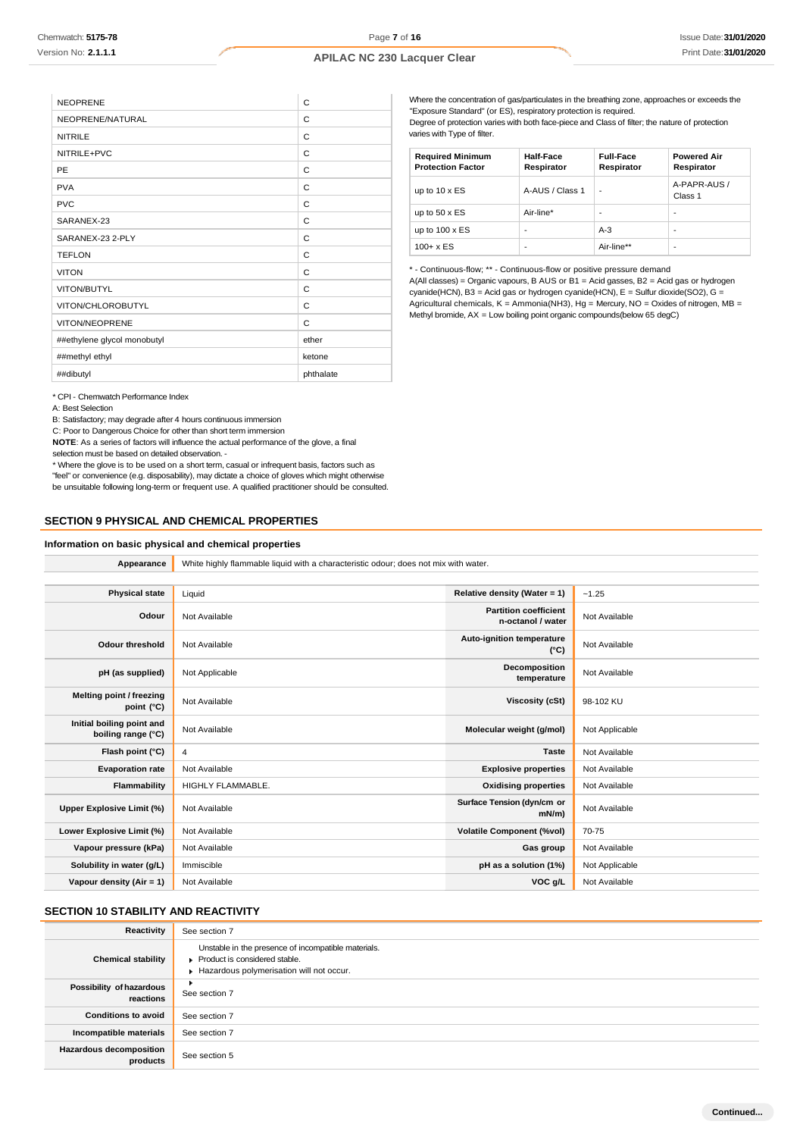| <b>NEOPRENE</b>             | C         |
|-----------------------------|-----------|
| NEOPRENE/NATURAL            | C         |
| <b>NITRILE</b>              | C         |
| NITRILE+PVC                 | C         |
| PE                          | C         |
| <b>PVA</b>                  | C         |
| <b>PVC</b>                  | C         |
| SARANEX-23                  | C         |
| SARANEX-23 2-PLY            | C         |
| <b>TEFLON</b>               | C         |
| <b>VITON</b>                | C         |
| VITON/BUTYL                 | C         |
| VITON/CHLOROBUTYL           | C         |
| <b>VITON/NEOPRENE</b>       | C         |
| ##ethylene glycol monobutyl | ether     |
| ##methyl ethyl              | ketone    |
| ##dibutyl                   | phthalate |

Where the concentration of gas/particulates in the breathing zone, approaches or exceeds the "Exposure Standard" (or ES), respiratory protection is required. Degree of protection varies with both face-piece and Class of filter; the nature of protection varies with Type of filter.

| <b>Required Minimum</b><br><b>Protection Factor</b> | <b>Half-Face</b><br>Respirator | <b>Full-Face</b><br>Respirator | <b>Powered Air</b><br>Respirator |
|-----------------------------------------------------|--------------------------------|--------------------------------|----------------------------------|
| up to $10 \times ES$                                | A-AUS / Class 1                | ٠                              | A-PAPR-AUS /<br>Class 1          |
| up to $50 \times ES$                                | Air-line*                      | -                              |                                  |
| up to $100 \times ES$                               | -                              | $A-3$                          | -                                |
| $100 + x ES$                                        | -                              | Air-line**                     | -                                |

\* - Continuous-flow; \*\* - Continuous-flow or positive pressure demand A(All classes) = Organic vapours, B AUS or B1 = Acid gasses, B2 = Acid gas or hydrogen cyanide(HCN), B3 = Acid gas or hydrogen cyanide(HCN), E = Sulfur dioxide(SO2), G = Agricultural chemicals, K = Ammonia(NH3), Hg = Mercury, NO = Oxides of nitrogen, MB = Methyl bromide, AX = Low boiling point organic compounds(below 65 degC)

\* CPI - Chemwatch Performance Index

A: Best Selection

B: Satisfactory; may degrade after 4 hours continuous immersion

C: Poor to Dangerous Choice for other than short term immersion

**NOTE**: As a series of factors will influence the actual performance of the glove, a final selection must be based on detailed observation. -

\* Where the glove is to be used on a short term, casual or infrequent basis, factors such as "feel" or convenience (e.g. disposability), may dictate a choice of gloves which might otherwise be unsuitable following long-term or frequent use. A qualified practitioner should be consulted.

### **SECTION 9 PHYSICAL AND CHEMICAL PROPERTIES**

#### **Information on basic physical and chemical properties**

**Appearance** White highly flammable liquid with a characteristic odour; does not mix with water.

| <b>Physical state</b><br>Relative density (Water = 1)<br>Liquid<br>$-1.25$                                     |  |
|----------------------------------------------------------------------------------------------------------------|--|
|                                                                                                                |  |
| <b>Partition coefficient</b><br>Odour<br>Not Available<br>Not Available<br>n-octanol / water                   |  |
| <b>Auto-ignition temperature</b><br><b>Odour threshold</b><br>Not Available<br>Not Available<br>$(^{\circ}C)$  |  |
| Decomposition<br>Not Available<br>pH (as supplied)<br>Not Applicable<br>temperature                            |  |
| Melting point / freezing<br>Not Available<br><b>Viscosity (cSt)</b><br>98-102 KU<br>point (°C)                 |  |
| Initial boiling point and<br>Not Available<br>Molecular weight (g/mol)<br>Not Applicable<br>boiling range (°C) |  |
| Flash point (°C)<br>Not Available<br>4<br><b>Taste</b>                                                         |  |
| <b>Evaporation rate</b><br>Not Available<br><b>Explosive properties</b><br>Not Available                       |  |
| Flammability<br><b>Oxidising properties</b><br>HIGHLY FLAMMABLE.<br>Not Available                              |  |
| Surface Tension (dyn/cm or<br>Not Available<br>Upper Explosive Limit (%)<br>Not Available<br>mN/m              |  |
| Not Available<br><b>Volatile Component (%vol)</b><br>Lower Explosive Limit (%)<br>70-75                        |  |
| Vapour pressure (kPa)<br>Not Available<br>Not Available<br>Gas group                                           |  |
| Solubility in water (g/L)<br>pH as a solution (1%)<br>Not Applicable<br>Immiscible                             |  |
| Vapour density $(Air = 1)$<br>Not Available<br>VOC g/L<br>Not Available                                        |  |

# **SECTION 10 STABILITY AND REACTIVITY**

| Reactivity                                 | See section 7                                                                                                                    |
|--------------------------------------------|----------------------------------------------------------------------------------------------------------------------------------|
| <b>Chemical stability</b>                  | Unstable in the presence of incompatible materials.<br>Product is considered stable.<br>Hazardous polymerisation will not occur. |
| Possibility of hazardous<br>reactions      | ٠<br>See section 7                                                                                                               |
| <b>Conditions to avoid</b>                 | See section 7                                                                                                                    |
| Incompatible materials                     | See section 7                                                                                                                    |
| <b>Hazardous decomposition</b><br>products | See section 5                                                                                                                    |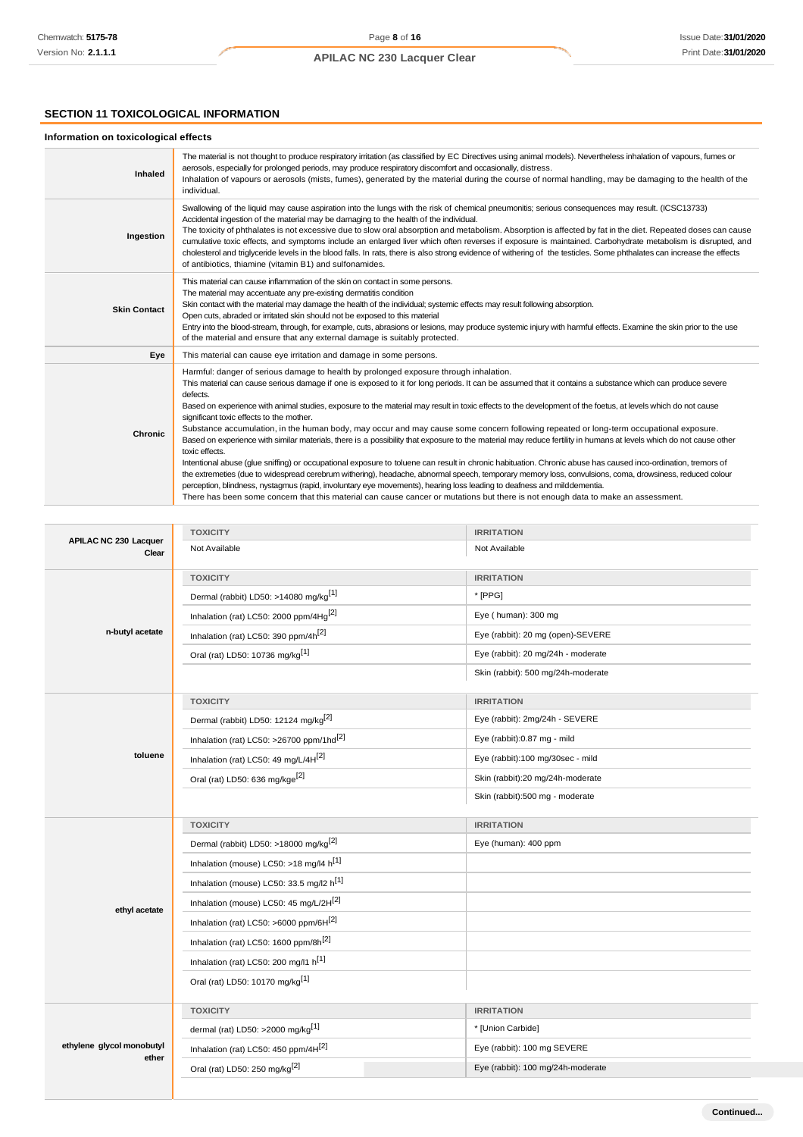# **SECTION 11 TOXICOLOGICAL INFORMATION**

## **Information on toxicological effects**

| Inhaled             | The material is not thought to produce respiratory irritation (as classified by EC Directives using animal models). Nevertheless inhalation of vapours, fumes or<br>aerosols, especially for prolonged periods, may produce respiratory discomfort and occasionally, distress.<br>Inhalation of vapours or aerosols (mists, fumes), generated by the material during the course of normal handling, may be damaging to the health of the<br>individual.                                                                                                                                                                                                                                                                                                                                                                                                                                                                                                                                                                                                                                                                                                                                                                                                                                                                                                                                                |
|---------------------|--------------------------------------------------------------------------------------------------------------------------------------------------------------------------------------------------------------------------------------------------------------------------------------------------------------------------------------------------------------------------------------------------------------------------------------------------------------------------------------------------------------------------------------------------------------------------------------------------------------------------------------------------------------------------------------------------------------------------------------------------------------------------------------------------------------------------------------------------------------------------------------------------------------------------------------------------------------------------------------------------------------------------------------------------------------------------------------------------------------------------------------------------------------------------------------------------------------------------------------------------------------------------------------------------------------------------------------------------------------------------------------------------------|
| Ingestion           | Swallowing of the liquid may cause aspiration into the lungs with the risk of chemical pneumonitis; serious consequences may result. (ICSC13733)<br>Accidental ingestion of the material may be damaging to the health of the individual.<br>The toxicity of phthalates is not excessive due to slow oral absorption and metabolism. Absorption is affected by fat in the diet. Repeated doses can cause<br>cumulative toxic effects, and symptoms include an enlarged liver which often reverses if exposure is maintained. Carbohydrate metabolism is disrupted, and<br>cholesterol and triglyceride levels in the blood falls. In rats, there is also strong evidence of withering of the testicles. Some phthalates can increase the effects<br>of antibiotics, thiamine (vitamin B1) and sulfonamides.                                                                                                                                                                                                                                                                                                                                                                                                                                                                                                                                                                                            |
| <b>Skin Contact</b> | This material can cause inflammation of the skin on contact in some persons.<br>The material may accentuate any pre-existing dermatitis condition<br>Skin contact with the material may damage the health of the individual; systemic effects may result following absorption.<br>Open cuts, abraded or irritated skin should not be exposed to this material<br>Entry into the blood-stream, through, for example, cuts, abrasions or lesions, may produce systemic injury with harmful effects. Examine the skin prior to the use<br>of the material and ensure that any external damage is suitably protected.                                                                                                                                                                                                                                                                                                                                                                                                                                                                                                                                                                                                                                                                                                                                                                                      |
| Eye                 | This material can cause eye irritation and damage in some persons.                                                                                                                                                                                                                                                                                                                                                                                                                                                                                                                                                                                                                                                                                                                                                                                                                                                                                                                                                                                                                                                                                                                                                                                                                                                                                                                                     |
| Chronic             | Harmful: danger of serious damage to health by prolonged exposure through inhalation.<br>This material can cause serious damage if one is exposed to it for long periods. It can be assumed that it contains a substance which can produce severe<br>defects.<br>Based on experience with animal studies, exposure to the material may result in toxic effects to the development of the foetus, at levels which do not cause<br>significant toxic effects to the mother.<br>Substance accumulation, in the human body, may occur and may cause some concern following repeated or long-term occupational exposure.<br>Based on experience with similar materials, there is a possibility that exposure to the material may reduce fertility in humans at levels which do not cause other<br>toxic effects.<br>Intentional abuse (glue sniffing) or occupational exposure to toluene can result in chronic habituation. Chronic abuse has caused inco-ordination, tremors of<br>the extremeties (due to widespread cerebrum withering), headache, abnormal speech, temporary memory loss, convulsions, coma, drowsiness, reduced colour<br>perception, blindness, nystagmus (rapid, involuntary eye movements), hearing loss leading to deafness and milddementia.<br>There has been some concern that this material can cause cancer or mutations but there is not enough data to make an assessment. |

|                                       | <b>TOXICITY</b>                                      | <b>IRRITATION</b>                  |
|---------------------------------------|------------------------------------------------------|------------------------------------|
| <b>APILAC NC 230 Lacquer</b><br>Clear | Not Available                                        | Not Available                      |
| n-butyl acetate                       | <b>TOXICITY</b>                                      | <b>IRRITATION</b>                  |
|                                       | Dermal (rabbit) LD50: >14080 mg/kg <sup>[1]</sup>    | * [PPG]                            |
|                                       | Inhalation (rat) LC50: 2000 ppm/4Hq <sup>[2]</sup>   | Eye (human): 300 mg                |
|                                       | Inhalation (rat) LC50: 390 ppm/4h <sup>[2]</sup>     | Eye (rabbit): 20 mg (open)-SEVERE  |
|                                       | Oral (rat) LD50: 10736 mg/kg <sup>[1]</sup>          | Eye (rabbit): 20 mg/24h - moderate |
|                                       |                                                      | Skin (rabbit): 500 mg/24h-moderate |
|                                       | <b>TOXICITY</b>                                      | <b>IRRITATION</b>                  |
|                                       | Dermal (rabbit) LD50: 12124 mg/kg <sup>[2]</sup>     | Eye (rabbit): 2mg/24h - SEVERE     |
|                                       | Inhalation (rat) LC50: >26700 ppm/1hd <sup>[2]</sup> | Eye (rabbit):0.87 mg - mild        |
| toluene                               | Inhalation (rat) LC50: 49 mg/L/4H <sup>[2]</sup>     | Eye (rabbit):100 mg/30sec - mild   |
|                                       | Oral (rat) LD50: 636 mg/kge <sup>[2]</sup>           | Skin (rabbit):20 mg/24h-moderate   |
|                                       |                                                      | Skin (rabbit):500 mg - moderate    |
|                                       |                                                      |                                    |
|                                       | <b>TOXICITY</b>                                      | <b>IRRITATION</b>                  |
|                                       | Dermal (rabbit) LD50: >18000 mg/kg <sup>[2]</sup>    | Eye (human): 400 ppm               |
|                                       | Inhalation (mouse) LC50: >18 mg/l4 h <sup>[1]</sup>  |                                    |
|                                       | Inhalation (mouse) LC50: 33.5 mg/l2 h <sup>[1]</sup> |                                    |
|                                       | Inhalation (mouse) LC50: 45 mg/L/2H <sup>[2]</sup>   |                                    |
| ethyl acetate                         | Inhalation (rat) LC50: >6000 ppm/6H[2]               |                                    |
|                                       | Inhalation (rat) LC50: 1600 ppm/8h <sup>[2]</sup>    |                                    |
|                                       | Inhalation (rat) LC50: 200 mg/l1 h <sup>[1]</sup>    |                                    |
|                                       | Oral (rat) LD50: 10170 mg/kg <sup>[1]</sup>          |                                    |
|                                       | <b>TOXICITY</b>                                      | <b>IRRITATION</b>                  |
|                                       | dermal (rat) LD50: >2000 mg/kg <sup>[1]</sup>        | * [Union Carbide]                  |
| ethylene glycol monobutyl             | Inhalation (rat) LC50: 450 ppm/4H <sup>[2]</sup>     | Eye (rabbit): 100 mg SEVERE        |
| ether                                 | Oral (rat) LD50: 250 mg/kg <sup>[2]</sup>            | Eye (rabbit): 100 mg/24h-moderate  |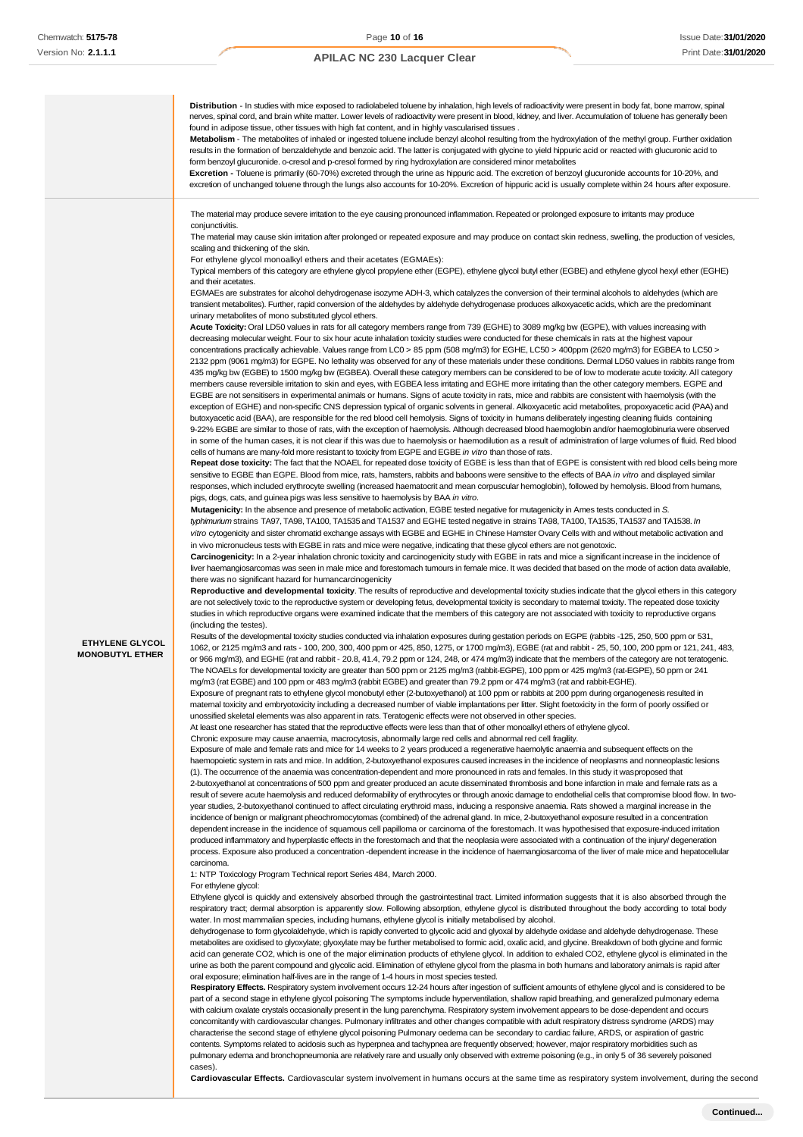**Distribution** - In studies with mice exposed to radiolabeled toluene by inhalation, high levels of radioactivity were present in body fat, bone marrow, spinal ves, spinal cord, and brain white matter. Lower levels of radioactivity were present in blood, kidney, and liver. Accumulation of toluene has generally been found in adipose tissue, other tissues with high fat content, and in highly vascularised tissues **Metabolism** - The metabolites of inhaled or ingested toluene include benzyl alcohol resulting from the hydroxylation of the methyl group. Further oxidation results in the formation of benzaldehyde and benzoic acid. The latter is conjugated with glycine to yield hippuric acid or reacted with glucuronic acid to form benzoyl glucuronide. o-cresol and p-cresol formed by ring hydroxylation are considered minor metabolites **Excretion -** Toluene is primarily (60-70%) excreted through the urine as hippuric acid. The excretion of benzoyl glucuronide accounts for 10-20%, and excretion of unchanged toluene through the lungs also accounts for 10-20%. Excretion of hippuric acid is usually complete within 24 hours after exposure. **ETHYLENE GLYCOL MONOBUTYL ETHER** The material may produce severe irritation to the eye causing pronounced inflammation. Repeated or prolonged exposure to irritants may produce conjunctivitis. The material may cause skin irritation after prolonged or repeated exposure and may produce on contact skin redness, swelling, the production of vesicles, scaling and thickening of the skin. For ethylene glycol monoalkyl ethers and their acetates (EGMAEs): Typical members of this category are ethylene glycol propylene ether (EGPE), ethylene glycol butyl ether (EGBE) and ethylene glycol hexyl ether (EGHE) and their acetates. EGMAEs are substrates for alcohol dehydrogenase isozyme ADH-3, which catalyzes the conversion of their terminal alcohols to aldehydes (which are transient metabolites). Further, rapid conversion of the aldehydes by aldehyde dehydrogenase produces alkoxyacetic acids, which are the predominant urinary metabolites of mono substituted glycol ethers. **Acute Toxicity:** Oral LD50 values in rats for all category members range from 739 (EGHE) to 3089 mg/kg bw (EGPE), with values increasing with decreasing molecular weight. Four to six hour acute inhalation toxicity studies were conducted for these chemicals in rats at the highest vapour concentrations practically achievable. Values range from LC0 > 85 ppm (508 mg/m3) for EGHE, LC50 > 400ppm (2620 mg/m3) for EGBEA to LC50 > 2132 ppm (9061 mg/m3) for EGPE. No lethality was observed for any of these materials under these conditions. Dermal LD50 values in rabbits range from 435 mg/kg bw (EGBE) to 1500 mg/kg bw (EGBEA). Overall these category members can be considered to be of low to moderate acute toxicity. All category members cause reversible irritation to skin and eyes, with EGBEA less irritating and EGHE more irritating than the other category members. EGPE and EGBE are not sensitisers in experimental animals or humans. Signs of acute toxicity in rats, mice and rabbits are consistent with haemolysis (with the exception of EGHE) and non-specific CNS depression typical of organic solvents in general. Alkoxyacetic acid metabolites, propoxyacetic acid (PAA) and butoxyacetic acid (BAA), are responsible for the red blood cell hemolysis. Signs of toxicity in humans deliberately ingesting cleaning fluids containing 9-22% EGBE are similar to those of rats, with the exception of haemolysis. Although decreased blood haemoglobin and/or haemoglobinuria were observed in some of the human cases, it is not clear if this was due to haemolysis or haemodilution as a result of administration of large volumes of fluid. Red blood cells of humans are many-fold more resistant to toxicity from EGPE and EGBE *in vitro* than those of rats. **Repeat dose toxicity:** The fact that the NOAEL for repeated dose toxicity of EGBE is less than that of EGPE is consistent with red blood cells being more sensitive to EGBE than EGPE. Blood from mice, rats, hamsters, rabbits and baboons were sensitive to the effects of BAA *in vitro* and displayed similar responses, which included erythrocyte swelling (increased haematocrit and mean corpuscular hemoglobin), followed by hemolysis. Blood from humans, pigs, dogs, cats, and guinea pigs was less sensitive to haemolysis by BAA *in vitro*. **Mutagenicity:** In the absence and presence of metabolic activation, EGBE tested negative for mutagenicity in Ames tests conducted in *S. typhimurium* strains TA97, TA98, TA100, TA1535 and TA1537 and EGHE tested negative in strains TA98, TA100, TA1535, TA1537 and TA1538. *In vitro* cytogenicity and sister chromatid exchange assays with EGBE and EGHE in Chinese Hamster Ovary Cells with and without metabolic activation and in vivo micronucleus tests with EGBE in rats and mice were negative, indicating that these glycol ethers are not genotoxic. **Carcinogenicity:** In a 2-year inhalation chronic toxicity and carcinogenicity study with EGBE in rats and mice a significant increase in the incidence of liver haemangiosarcomas was seen in male mice and forestomach tumours in female mice. It was decided that based on the mode of action data available there was no significant hazard for humancarcinogenicity Reproductive and developmental toxicity. The results of reproductive and developmental toxicity studies indicate that the glycol ethers in this category are not selectively toxic to the reproductive system or developing fetus, developmental toxicity is secondary to maternal toxicity. The repeated dose toxicity studies in which reproductive organs were examined indicate that the members of this category are not associated with toxicity to reproductive organs (including the testes). Results of the developmental toxicity studies conducted via inhalation exposures during gestation periods on EGPE (rabbits -125, 250, 500 ppm or 531, 1062, or 2125 mg/m3 and rats - 100, 200, 300, 400 ppm or 425, 850, 1275, or 1700 mg/m3), EGBE (rat and rabbit - 25, 50, 100, 200 ppm or 121, 241, 483, or 966 mg/m3), and EGHE (rat and rabbit - 20.8, 41.4, 79.2 ppm or 124, 248, or 474 mg/m3) indicate that the members of the category are not teratogenic. The NOAELs for developmental toxicity are greater than 500 ppm or 2125 mg/m3 (rabbit-EGPE), 100 ppm or 425 mg/m3 (rat-EGPE), 50 ppm or 241 mg/m3 (rat EGBE) and 100 ppm or 483 mg/m3 (rabbit EGBE) and greater than 79.2 ppm or 474 mg/m3 (rat and rabbit-EGHE). Exposure of pregnant rats to ethylene glycol monobutyl ether (2-butoxyethanol) at 100 ppm or rabbits at 200 ppm during organogenesis resulted in maternal toxicity and embryotoxicity including a decreased number of viable implantations per litter. Slight foetoxicity in the form of poorly ossified or unossified skeletal elements was also apparent in rats. Teratogenic effects were not observed in other species. At least one researcher has stated that the reproductive effects were less than that of other monoalkyl ethers of ethylene glycol. Chronic exposure may cause anaemia, macrocytosis, abnormally large red cells and abnormal red cell fragility. Exposure of male and female rats and mice for 14 weeks to 2 years produced a regenerative haemolytic anaemia and subsequent effects on the haemopoietic system in rats and mice. In addition, 2-butoxyethanol exposures caused increases in the incidence of neoplasms and nonneoplastic lesions (1). The occurrence of the anaemia was concentration-dependent and more pronounced in rats and females. In this study it wasproposed that 2-butoxyethanol at concentrations of 500 ppm and greater produced an acute disseminated thrombosis and bone infarction in male and female rats as a result of severe acute haemolysis and reduced deformability of erythrocytes or through anoxic damage to endothelial cells that compromise blood flow. In twoyear studies, 2-butoxyethanol continued to affect circulating erythroid mass, inducing a responsive anaemia. Rats showed a marginal increase in the incidence of benign or malignant pheochromocytomas (combined) of the adrenal gland. In mice, 2-butoxyethanol exposure resulted in a concentration dependent increase in the incidence of squamous cell papilloma or carcinoma of the forestomach. It was hypothesised that exposure-induced irritation produced inflammatory and hyperplastic effects in the forestomach and that the neoplasia were associated with a continuation of the injury/ degeneration process. Exposure also produced a concentration -dependent increase in the incidence of haemangiosarcoma of the liver of male mice and hepatocellular carcinoma. 1: NTP Toxicology Program Technical report Series 484, March 2000. For ethylene glycol: Ethylene glycol is quickly and extensively absorbed through the gastrointestinal tract. Limited information suggests that it is also absorbed through the respiratory tract; dermal absorption is apparently slow. Following absorption, ethylene glycol is distributed throughout the body according to total body water. In most mammalian species, including humans, ethylene glycol is initially metabolised by alcohol. dehydrogenase to form glycolaldehyde, which is rapidly converted to glycolic acid and glyoxal by aldehyde oxidase and aldehyde dehydrogenase. These metabolites are oxidised to glyoxylate; glyoxylate may be further metabolised to formic acid, oxalic acid, and glycine. Breakdown of both glycine and formic acid can generate CO2, which is one of the major elimination products of ethylene glycol. In addition to exhaled CO2, ethylene glycol is eliminated in the urine as both the parent compound and glycolic acid. Elimination of ethylene glycol from the plasma in both humans and laboratory animals is rapid after oral exposure; elimination half-lives are in the range of 1-4 hours in most species tested. Respiratory Effects. Respiratory system involvement occurs 12-24 hours after ingestion of sufficient amounts of ethylene glycol and is considered to be part of a second stage in ethylene glycol poisoning The symptoms include hyperventilation, shallow rapid breathing, and generalized pulmonary edema with calcium oxalate crystals occasionally present in the lung parenchyma. Respiratory system involvement appears to be dose-dependent and occurs concomitantly with cardiovascular changes. Pulmonary infiltrates and other changes compatible with adult respiratory distress syndrome (ARDS) may characterise the second stage of ethylene glycol poisoning Pulmonary oedema can be secondary to cardiac failure, ARDS, or aspiration of gastric contents. Symptoms related to acidosis such as hyperpnea and tachypnea are frequently observed; however, major respiratory morbidities such as

pulmonary edema and bronchopneumonia are relatively rare and usually only observed with extreme poisoning (e.g., in only 5 of 36 severely poisoned cases).

**Cardiovascular Effects.** Cardiovascular system involvement in humans occurs at the same time as respiratory system involvement, during the second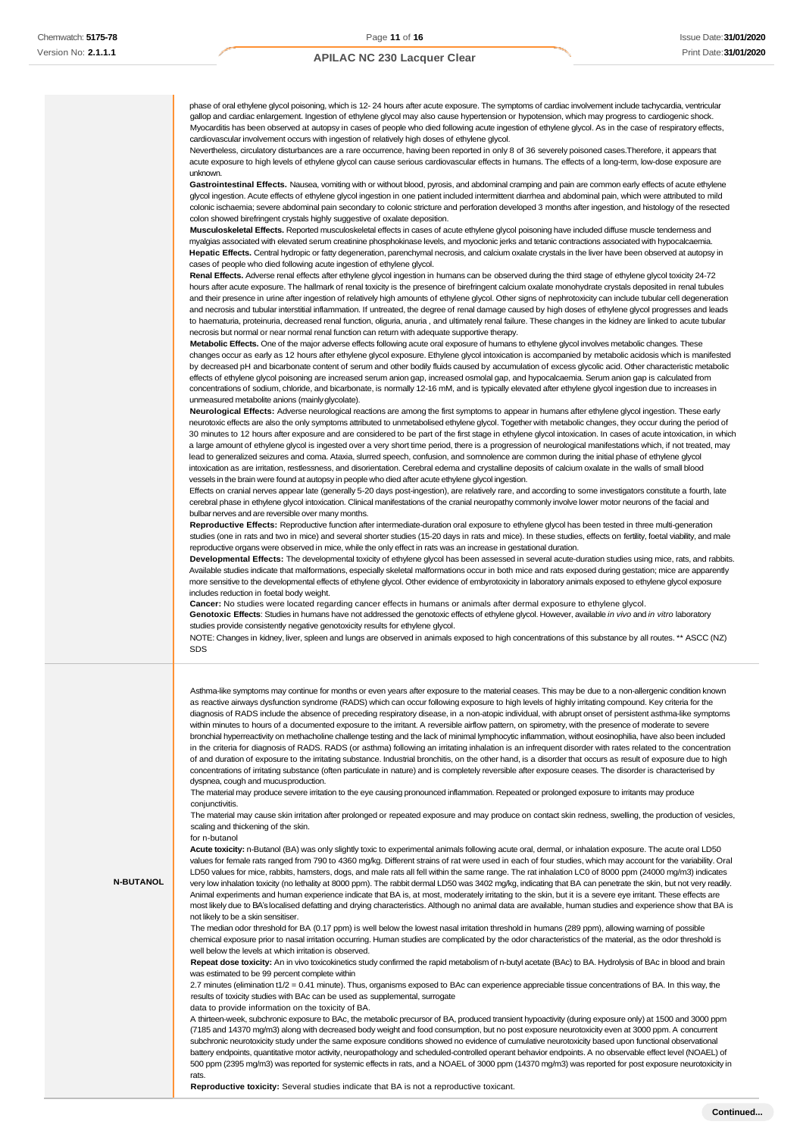phase of oral ethylene glycol poisoning, which is 12- 24 hours after acute exposure. The symptoms of cardiac involvement include tachycardia, ventricular gallop and cardiac enlargement. Ingestion of ethylene glycol may also cause hypertension or hypotension, which may progress to cardiogenic shock. Myocarditis has been observed at autopsy in cases of people who died following acute ingestion of ethylene glycol. As in the case of respiratory effects, cardiovascular involvement occurs with ingestion of relatively high doses of ethylene glycol.

Nevertheless, circulatory disturbances are a rare occurrence, having been reported in only 8 of 36 severely poisoned cases.Therefore, it appears that acute exposure to high levels of ethylene glycol can cause serious cardiovascular effects in humans. The effects of a long-term, low-dose exposure are unknown.

**Gastrointestinal Effects.** Nausea, vomiting with or without blood, pyrosis, and abdominal cramping and pain are common early effects of acute ethylene glycol ingestion. Acute effects of ethylene glycol ingestion in one patient included intermittent diarrhea and abdominal pain, which were attributed to mild colonic ischaemia; severe abdominal pain secondary to colonic stricture and perforation developed 3 months after ingestion, and histology of the resected colon showed birefringent crystals highly suggestive of oxalate deposition.

**Musculoskeletal Effects.** Reported musculoskeletal effects in cases of acute ethylene glycol poisoning have included diffuse muscle tenderness and myalgias associated with elevated serum creatinine phosphokinase levels, and myoclonic jerks and tetanic contractions associated with hypocalcaemia. **Hepatic Effects.** Central hydropic or fatty degeneration, parenchymal necrosis, and calcium oxalate crystals in the liver have been observed at autopsy in cases of people who died following acute ingestion of ethylene glycol.

**Renal Effects.** Adverse renal effects after ethylene glycol ingestion in humans can be observed during the third stage of ethylene glycol toxicity 24-72 hours after acute exposure. The hallmark of renal toxicity is the presence of birefringent calcium oxalate monohydrate crystals deposited in renal tubules and their presence in urine after ingestion of relatively high amounts of ethylene glycol. Other signs of nephrotoxicity can include tubular cell degeneration and necrosis and tubular interstitial inflammation. If untreated, the degree of renal damage caused by high doses of ethylene glycol progresses and leads to haematuria, proteinuria, decreased renal function, oliguria, anuria , and ultimately renal failure. These changes in the kidney are linked to acute tubular necrosis but normal or near normal renal function can return with adequate supportive therapy.

**Metabolic Effects.** One of the major adverse effects following acute oral exposure of humans to ethylene glycol involves metabolic changes. These changes occur as early as 12 hours after ethylene glycol exposure. Ethylene glycol intoxication is accompanied by metabolic acidosis which is manifested by decreased pH and bicarbonate content of serum and other bodily fluids caused by accumulation of excess glycolic acid. Other characteristic metabolic effects of ethylene glycol poisoning are increased serum anion gap, increased osmolal gap, and hypocalcaemia. Serum anion gap is calculated from concentrations of sodium, chloride, and bicarbonate, is normally 12-16 mM, and is typically elevated after ethylene glycol ingestion due to increases in unmeasured metabolite anions (mainlyglycolate).

**Neurological Effects:** Adverse neurological reactions are among the first symptoms to appear in humans after ethylene glycol ingestion. These early neurotoxic effects are also the only symptoms attributed to unmetabolised ethylene glycol. Together with metabolic changes, they occur during the period of 30 minutes to 12 hours after exposure and are considered to be part of the first stage in ethylene glycol intoxication. In cases of acute intoxication, in which a large amount of ethylene glycol is ingested over a very short time period, there is a progression of neurological manifestations which, if not treated, may lead to generalized seizures and coma. Ataxia, slurred speech, confusion, and somnolence are common during the initial phase of ethylene glycol intoxication as are irritation, restlessness, and disorientation. Cerebral edema and crystalline deposits of calcium oxalate in the walls of small blood vessels in the brain were found at autopsy in people who died after acute ethylene glycol ingestion.

Effects on cranial nerves appear late (generally 5-20 days post-ingestion), are relatively rare, and according to some investigators constitute a fourth, late cerebral phase in ethylene glycol intoxication. Clinical manifestations of the cranial neuropathy commonly involve lower motor neurons of the facial and bulbar nerves and are reversible over many months.

**Reproductive Effects:** Reproductive function after intermediate-duration oral exposure to ethylene glycol has been tested in three multi-generation studies (one in rats and two in mice) and several shorter studies (15-20 days in rats and mice). In these studies, effects on fertility, foetal viability, and male reproductive organs were observed in mice, while the only effect in rats was an increase in gestational duration.

**Developmental Effects:** The developmental toxicity of ethylene glycol has been assessed in several acute-duration studies using mice, rats, and rabbits. Available studies indicate that malformations, especially skeletal malformations occur in both mice and rats exposed during gestation; mice are apparently more sensitive to the developmental effects of ethylene glycol. Other evidence of embyrotoxicity in laboratory animals exposed to ethylene glycol exposure includes reduction in foetal body weight.

**Cancer:** No studies were located regarding cancer effects in humans or animals after dermal exposure to ethylene glycol.

**Genotoxic Effects**: Studies in humans have not addressed the genotoxic effects of ethylene glycol. However, available *in vivo* and *in vitro* laboratory studies provide consistently negative genotoxicity results for ethylene glycol.

NOTE: Changes in kidney, liver, spleen and lungs are observed in animals exposed to high concentrations of this substance by all routes. \*\* ASCC (NZ) SDS

Asthma-like symptoms may continue for months or even years after exposure to the material ceases. This may be due to a non-allergenic condition known as reactive airways dysfunction syndrome (RADS) which can occur following exposure to high levels of highly irritating compound. Key criteria for the diagnosis of RADS include the absence of preceding respiratory disease, in a non-atopic individual, with abrupt onset of persistent asthma-like symptoms within minutes to hours of a documented exposure to the irritant. A reversible airflow pattern, on spirometry, with the presence of moderate to severe bronchial hyperreactivity on methacholine challenge testing and the lack of minimal lymphocytic inflammation, without eosinophilia, have also been included in the criteria for diagnosis of RADS. RADS (or asthma) following an irritating inhalation is an infrequent disorder with rates related to the concentration of and duration of exposure to the irritating substance. Industrial bronchitis, on the other hand, is a disorder that occurs as result of exposure due to high concentrations of irritating substance (often particulate in nature) and is completely reversible after exposure ceases. The disorder is characterised by dyspnea, cough and mucusproduction.

The material may produce severe irritation to the eye causing pronounced inflammation. Repeated or prolonged exposure to irritants may produce conjunctivitis.

The material may cause skin irritation after prolonged or repeated exposure and may produce on contact skin redness, swelling, the production of vesicles, scaling and thickening of the skin.

#### for n-butanol

**N-BUTANOL**

**Acute toxicity:** n-Butanol (BA) was only slightly toxic to experimental animals following acute oral, dermal, or inhalation exposure. The acute oral LD50 values for female rats ranged from 790 to 4360 mg/kg. Different strains of rat were used in each of four studies, which may account for the variability. Oral LD50 values for mice, rabbits, hamsters, dogs, and male rats all fell within the same range. The rat inhalation LC0 of 8000 ppm (24000 mg/m3) indicates very low inhalation toxicity (no lethality at 8000 ppm). The rabbit dermal LD50 was 3402 mg/kg, indicating that BA can penetrate the skin, but not very readily. Animal experiments and human experience indicate that BA is, at most, moderately irritating to the skin, but it is a severe eye irritant. These effects are most likely due to BA's localised defatting and drying characteristics. Although no animal data are available, human studies and experience show that BA is not likely to be a skin sensitiser.

The median odor threshold for BA (0.17 ppm) is well below the lowest nasal irritation threshold in humans (289 ppm), allowing warning of possible chemical exposure prior to nasal irritation occurring. Human studies are complicated by the odor characteristics of the material, as the odor threshold is well below the levels at which irritation is observed.

**Repeat dose toxicity:** An in vivo toxicokinetics study confirmed the rapid metabolism of n-butyl acetate (BAc) to BA. Hydrolysis of BAc in blood and brain was estimated to be 99 percent complete within

2.7 minutes (elimination t1/2 = 0.41 minute). Thus, organisms exposed to BAc can experience appreciable tissue concentrations of BA. In this way, the results of toxicity studies with BAc can be used as supplemental, surrogate

data to provide information on the toxicity of BA.

A thirteen-week, subchronic exposure to BAc, the metabolic precursor of BA, produced transient hypoactivity (during exposure only) at 1500 and 3000 ppm (7185 and 14370 mg/m3) along with decreased body weight and food consumption, but no post exposure neurotoxicity even at 3000 ppm. A concurrent subchronic neurotoxicity study under the same exposure conditions showed no evidence of cumulative neurotoxicity based upon functional observational battery endpoints, quantitative motor activity, neuropathology and scheduled-controlled operant behavior endpoints. A no observable effect level (NOAEL) of 500 ppm (2395 mg/m3) was reported for systemic effects in rats, and a NOAEL of 3000 ppm (14370 mg/m3) was reported for post exposure neurotoxicity in rats.

**Reproductive toxicity:** Several studies indicate that BA is not a reproductive toxicant.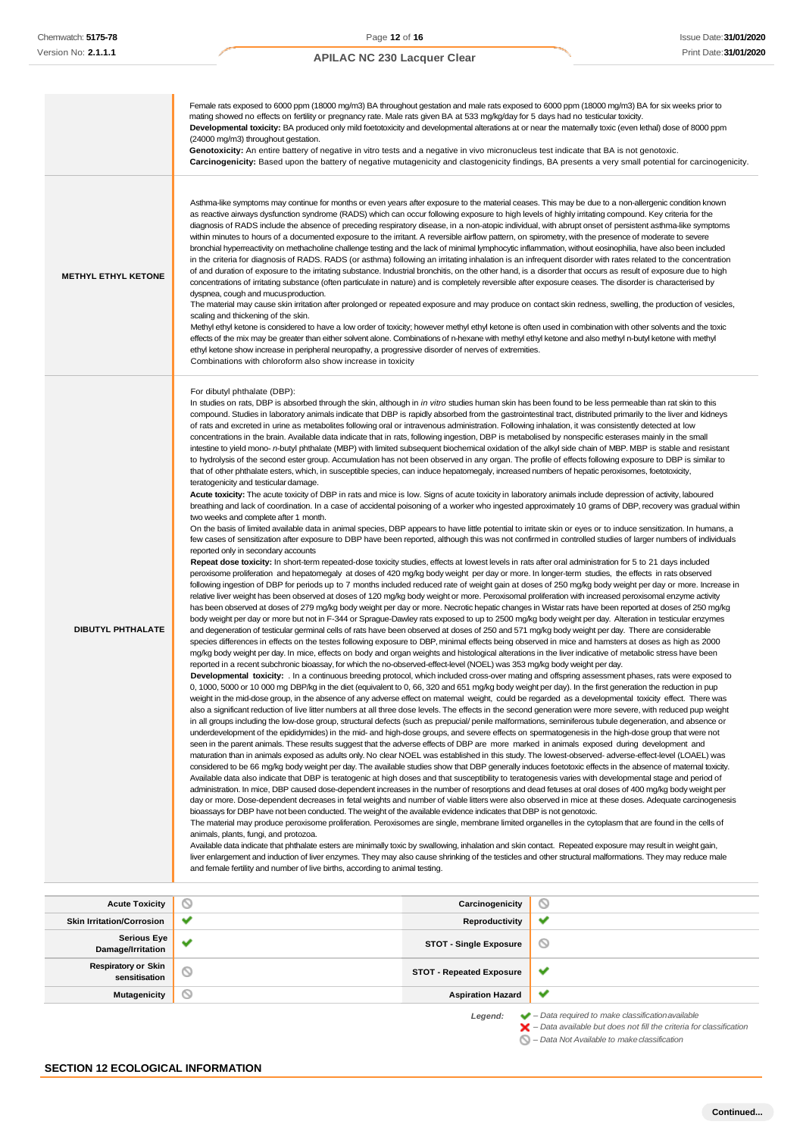#### Female rats exposed to 6000 ppm (18000 mg/m3) BA throughout gestation and male rats exposed to 6000 ppm (18000 mg/m3) BA for six weeks prior to mating showed no effects on fertility or pregnancy rate. Male rats given BA at 533 mg/kg/day for 5 days had no testicular toxicity. Developmental toxicity: BA produced only mild foetotoxicity and developmental alterations at or near the maternally toxic (even lethal) dose of 8000 ppm (24000 mg/m3) throughout gestation. Genotoxicity: An entire battery of negative in vitro tests and a negative in vivo micronucleus test indicate that BA is not genotoxic. **Carcinogenicity:** Based upon the battery of negative mutagenicity and clastogenicity findings, BA presents a very small potential for carcinogenicity. Asthma-like symptoms may continue for months or even years after exposure to the material ceases. This may be due to a non-allergenic condition known as reactive airways dysfunction syndrome (RADS) which can occur following exposure to high levels of highly irritating compound. Key criteria for the diagnosis of RADS include the absence of preceding respiratory disease, in a non-atopic individual, with abrupt onset of persistent asthma-like symptoms within minutes to hours of a documented exposure to the irritant. A reversible airflow pattern, on spirometry, with the presence of moderate to severe bronchial hyperreactivity on methacholine challenge testing and the lack of minimal lymphocytic inflammation, without eosinophilia, have also been included in the criteria for diagnosis of RADS. RADS (or asthma) following an irritating inhalation is an infrequent disorder with rates related to the concentration of and duration of exposure to the irritating substance. Industrial bronchitis, on the other hand, is a disorder that occurs as result of exposure due to high **METHYL ETHYL KETONE** concentrations of irritating substance (often particulate in nature) and is completely reversible after exposure ceases. The disorder is characterised by dyspnea, cough and mucusproduction. The material may cause skin irritation after prolonged or repeated exposure and may produce on contact skin redness, swelling, the production of vesicles, scaling and thickening of the skin. Methyl ethyl ketone is considered to have a low order of toxicity; however methyl ethyl ketone is often used in combination with other solvents and the toxic effects of the mix may be greater than either solvent alone. Combinations of n-hexane with methyl ethyl ketone and also methyl n-butyl ketone with methyl ethyl ketone show increase in peripheral neuropathy, a progressive disorder of nerves of extremities. Combinations with chloroform also show increase in toxicity For dibutyl phthalate (DBP): In studies on rats, DBP is absorbed through the skin, although in *in vitro* studies human skin has been found to be less permeable than rat skin to this compound. Studies in laboratory animals indicate that DBP is rapidly absorbed from the gastrointestinal tract, distributed primarily to the liver and kidneys of rats and excreted in urine as metabolites following oral or intravenous administration. Following inhalation, it was consistently detected at low concentrations in the brain. Available data indicate that in rats, following ingestion, DBP is metabolised by nonspecific esterases mainly in the small intestine to yield mono- *n*-butyl phthalate (MBP) with limited subsequent biochemical oxidation of the alkyl side chain of MBP. MBP is stable and resistant to hydrolysis of the second ester group. Accumulation has not been observed in any organ. The profile of effects following exposure to DBP is similar to that of other phthalate esters, which, in susceptible species, can induce hepatomegaly, increased numbers of hepatic peroxisomes, foetotoxicity, teratogenicity and testicular damage. **Acute toxicity:** The acute toxicity of DBP in rats and mice is low. Signs of acute toxicity in laboratory animals include depression of activity, laboured breathing and lack of coordination. In a case of accidental poisoning of a worker who ingested approximately 10 grams of DBP, recovery was gradual within two weeks and complete after 1 month. On the basis of limited available data in animal species, DBP appears to have little potential to irritate skin or eyes or to induce sensitization. In humans, a few cases of sensitization after exposure to DBP have been reported, although this was not confirmed in controlled studies of larger numbers of individuals reported only in secondary accounts **Repeat dose toxicity:** In short-term repeated-dose toxicity studies, effects at lowest levels in rats after oral administration for 5 to 21 days included peroxisome proliferation and hepatomegaly at doses of 420 mg/kg body weight per day or more. In longer-term studies, the effects in rats observed following ingestion of DBP for periods up to 7 months included reduced rate of weight gain at doses of 250 mg/kg body weight per day or more. Increase in relative liver weight has been observed at doses of 120 mg/kg body weight or more. Peroxisomal proliferation with increased peroxisomal enzyme activity has been observed at doses of 279 mg/kg body weight per day or more. Necrotic hepatic changes in Wistar rats have been reported at doses of 250 mg/kg body weight per day or more but not in F-344 or Sprague-Dawley rats exposed to up to 2500 mg/kg body weight per day. Alteration in testicular enzymes **DIBUTYL PHTHALATE** and degeneration of testicular germinal cells of rats have been observed at doses of 250 and 571 mg/kg body weight per day. There are considerable species differences in effects on the testes following exposure to DBP, minimal effects being observed in mice and hamsters at doses as high as 2000 mg/kg body weight per day. In mice, effects on body and organ weights and histological alterations in the liver indicative of metabolic stress have been reported in a recent subchronic bioassay, for which the no-observed-effect-level (NOEL) was 353 mg/kg body weight per day. **Developmental toxicity:** . In a continuous breeding protocol, which included cross-over mating and offspring assessment phases, rats were exposed to 0, 1000, 5000 or 10 000 mg DBP/kg in the diet (equivalent to 0, 66, 320 and 651 mg/kg body weight per day). In the first generation the reduction in pup weight in the mid-dose group, in the absence of any adverse effect on maternal weight, could be regarded as a developmental toxicity effect. There was also a significant reduction of live litter numbers at all three dose levels. The effects in the second generation were more severe, with reduced pup weight in all groups including the low-dose group, structural defects (such as prepucial/ penile malformations, seminiferous tubule degeneration, and absence or underdevelopment of the epididymides) in the mid- and high-dose groups, and severe effects on spermatogenesis in the high-dose group that were not seen in the parent animals. These results suggest that the adverse effects of DBP are more marked in animals exposed during development and maturation than in animals exposed as adults only. No clear NOEL was established in this study. The lowest-observed- adverse-effect-level (LOAEL) was considered to be 66 mg/kg body weight per day. The available studies show that DBP generally induces foetotoxic effects in the absence of maternal toxicity. Available data also indicate that DBP is teratogenic at high doses and that susceptibility to teratogenesis varies with developmental stage and period of administration. In mice, DBP caused dose-dependent increases in the number of resorptions and dead fetuses at oral doses of 400 mg/kg body weight per day or more. Dose-dependent decreases in fetal weights and number of viable litters were also observed in mice at these doses. Adequate carcinogenesis bioassays for DBP have not been conducted. The weight of the available evidence indicates that DBP is not genotoxic. The material may produce peroxisome proliferation. Peroxisomes are single, membrane limited organelles in the cytoplasm that are found in the cells of animals, plants, fungi, and protozoa. Available data indicate that phthalate esters are minimally toxic by swallowing, inhalation and skin contact. Repeated exposure may result in weight gain, liver enlargement and induction of liver enzymes. They may also cause shrinking of the testicles and other structural malformations. They may reduce male and female fertility and number of live births, according to animal testing. **Acute Toxicity Carcinogenicity**  $\circ$ **Skin Irritation/Corrosion ● ■ Productivity**  $\overline{\phantom{a}}$ **Serious Eye Damage/Irritation**<br> **Damage/Irritation**  $\circledcirc$

**sensitisation STOT - Repeated Exposure**

 $\checkmark$ **Mutagenicity Aspiration Hazard**

 $\checkmark$ 

*Legend: – Data required to make classificationavailable – Data available but does not fill the criteria for classification*

*– Data Not Available to makeclassification*

**Respiratory or Skin**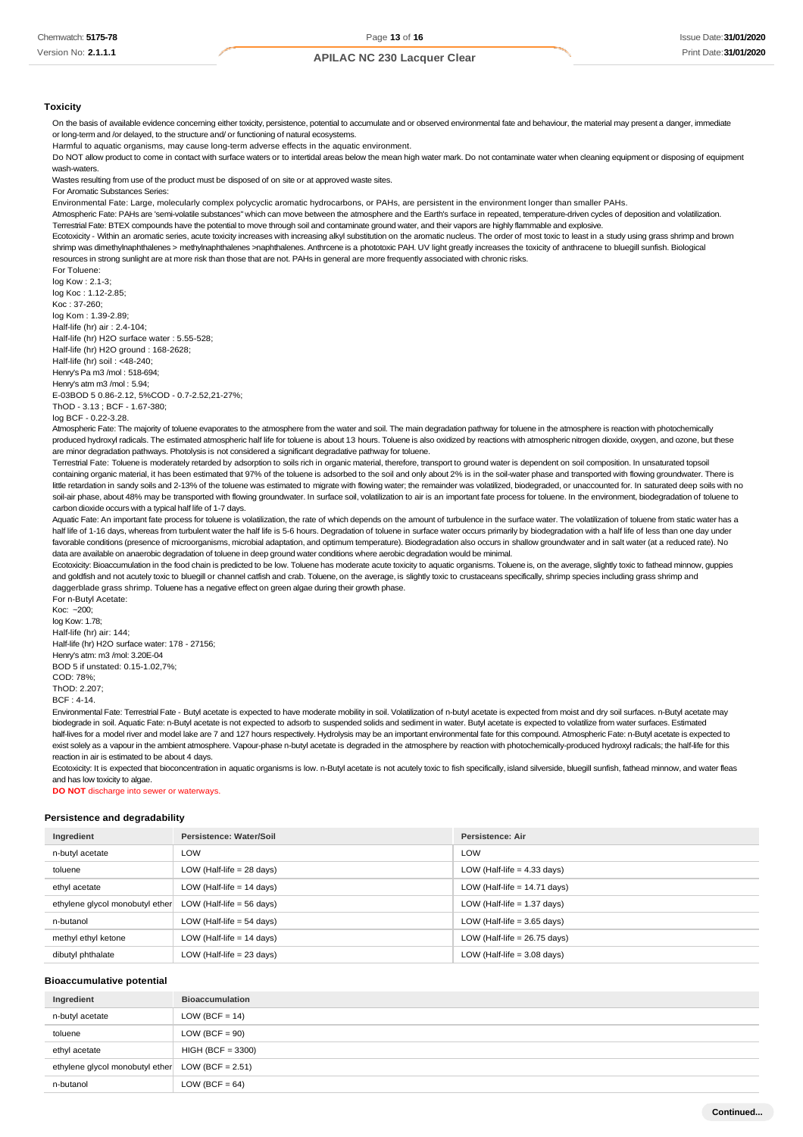#### **Toxicity**

On the basis of available evidence concerning either toxicity, persistence, potential to accumulate and or observed environmental fate and behaviour, the material may present a danger, immediate or long-term and /or delayed, to the structure and/ or functioning of natural ecosystems.

Harmful to aquatic organisms, may cause long-term adverse effects in the aquatic environment.

Do NOT allow product to come in contact with surface waters or to intertidal areas below the mean high water mark. Do not contaminate water when cleaning equipment or disposing of equipment wash-waters.

Wastes resulting from use of the product must be disposed of on site or at approved waste sites

For Aromatic Substances Series:

Environmental Fate: Large, molecularly complex polycyclic aromatic hydrocarbons, or PAHs, are persistent in the environment longer than smaller PAHs.

Atmospheric Fate: PAHs are 'semi-volatile substances" which can move between the atmosphere and the Earth's surface in repeated, temperature-driven cycles of deposition and volatilization. Terrestrial Fate: BTEX compounds have the potential to move through soil and contaminate ground water, and their vapors are highly flammable and explosive.

Ecotoxicity - Within an aromatic series, acute toxicity increases with increasing alkyl substitution on the aromatic nucleus. The order of most toxic to least in a study using grass shrimp and brown shrimp was dimethylnaphthalenes > methylnaphthalenes >naphthalenes. Anthrcene is a phototoxic PAH. UV light greatly increases the toxicity of anthracene to bluegill sunfish. Biological resources in strong sunlight are at more risk than those that are not. PAHs in general are more frequently associated with chronic risks.

For Toluene: log Kow : 2.1-3;

log Koc : 1.12-2.85; Koc : 37-260; log Kom : 1.39-2.89; Half-life (hr) air : 2.4-104; Half-life (hr) H2O surface water : 5.55-528; Half-life (hr) H2O ground : 168-2628; Half-life (hr) soil : <48-240; Henry's Pa m3 /mol : 518-694; Henry's atm m3 /mol : 5.94; E-03BOD 5 0.86-2.12, 5%COD - 0.7-2.52,21-27%; ThOD - 3.13 ; BCF - 1.67-380;

log BCF - 0.22-3.28.

Atmospheric Fate: The majority of toluene evaporates to the atmosphere from the water and soil. The main degradation pathway for toluene in the atmosphere is reaction with photochemically produced hydroxyl radicals. The estimated atmospheric half life for toluene is about 13 hours. Toluene is also oxidized by reactions with atmospheric nitrogen dioxide, oxygen, and ozone, but these are minor degradation pathways. Photolysis is not considered a significant degradative pathway for toluene.

Terrestrial Fate: Toluene is moderately retarded by adsorption to soils rich in organic material, therefore, transport to ground water is dependent on soil composition. In unsaturated topsoil containing organic material, it has been estimated that 97% of the toluene is adsorbed to the soil and only about 2% is in the soil-water phase and transported with flowing groundwater. There is little retardation in sandy soils and 2-13% of the toluene was estimated to migrate with flowing water; the remainder was volatilized, biodegraded, or unaccounted for. In saturated deep soils with no soil-air phase, about 48% may be transported with flowing groundwater. In surface soil, volatilization to air is an important fate process for toluene. In the environment, biodegradation of toluene to carbon dioxide occurs with a typical half life of 1-7 days.

Aquatic Fate: An important fate process for toluene is volatilization, the rate of which depends on the amount of turbulence in the surface water. The volatilization of toluene from static water has a half life of 1-16 days, whereas from turbulent water the half life is 5-6 hours. Degradation of toluene in surface water occurs primarily by biodegradation with a half life of less than one day under favorable conditions (presence of microorganisms, microbial adaptation, and optimum temperature). Biodegradation also occurs in shallow groundwater and in salt water (at a reduced rate). No data are available on anaerobic degradation of toluene in deep ground water conditions where aerobic degradation would be minimal.

Ecotoxicity: Bioaccumulation in the food chain is predicted to be low. Toluene has moderate acute toxicity to aquatic organisms. Toluene is, on the average, slightly toxic to fathead minnow, guppies and goldfish and not acutely toxic to bluegill or channel catfish and crab. Toluene, on the average, is slightly toxic to crustaceans specifically, shrimp species including grass shrimp and daggerblade grass shrimp. Toluene has a negative effect on green algae during their growth phase. For n-Butyl Acetate:

Koc: ~200; log Kow: 1.78; Half-life (hr) air: 144; Half-life (hr) H2O surface water: 178 - 27156; Henry's atm: m3 /mol: 3.20E-04 BOD 5 if unstated: 0.15-1.02,7%; COD: 78%;  $ThOP: 2.207$ BCF : 4-14.

Environmental Fate: Terrestrial Fate - Butyl acetate is expected to have moderate mobility in soil. Volatilization of n-butyl acetate is expected from moist and dry soil surfaces. n-Butyl acetate may biodegrade in soil. Aquatic Fate: n-Butyl acetate is not expected to adsorb to suspended solids and sediment in water. Butyl acetate is expected to volatilize from water surfaces. Estimated half-lives for a model river and model lake are 7 and 127 hours respectively. Hydrolysis may be an important environmental fate for this compound. Atmospheric Fate: n-Butyl acetate is expected to exist solely as a vapour in the ambient atmosphere. Vapour-phase n-butyl acetate is degraded in the atmosphere by reaction with photochemically-produced hydroxyl radicals; the half-life for this reaction in air is estimated to be about 4 days.

Ecotoxicity: It is expected that bioconcentration in aquatic organisms is low. n-Butyl acetate is not acutely toxic to fish specifically, island silverside, bluegill sunfish, fathead minnow, and water fleas and has low toxicity to algae.

**DO NOT** discharge into sewer or waterways.

#### **Persistence and degradability**

| Ingredient                      | Persistence: Water/Soil     | <b>Persistence: Air</b>        |
|---------------------------------|-----------------------------|--------------------------------|
| n-butyl acetate                 | LOW                         | LOW                            |
| toluene                         | LOW (Half-life $= 28$ days) | LOW (Half-life $=$ 4.33 days)  |
| ethyl acetate                   | LOW (Half-life $= 14$ days) | LOW (Half-life $= 14.71$ days) |
| ethylene glycol monobutyl ether | LOW (Half-life $= 56$ days) | LOW (Half-life $= 1.37$ days)  |
| n-butanol                       | LOW (Half-life $= 54$ days) | LOW (Half-life $=$ 3.65 days)  |
| methyl ethyl ketone             | LOW (Half-life $= 14$ days) | LOW (Half-life $= 26.75$ days) |
| dibutyl phthalate               | LOW (Half-life $= 23$ days) | LOW (Half-life $=$ 3.08 days)  |

#### **Bioaccumulative potential**

| Ingredient                                         | <b>Bioaccumulation</b> |
|----------------------------------------------------|------------------------|
| n-butyl acetate                                    | $LOW (BCF = 14)$       |
| toluene                                            | $LOW (BCF = 90)$       |
| ethyl acetate                                      | $HIGH (BCF = 3300)$    |
| ethylene glycol monobutyl ether $LOW (BCF = 2.51)$ |                        |
| n-butanol                                          | LOW (BCF = $64$ )      |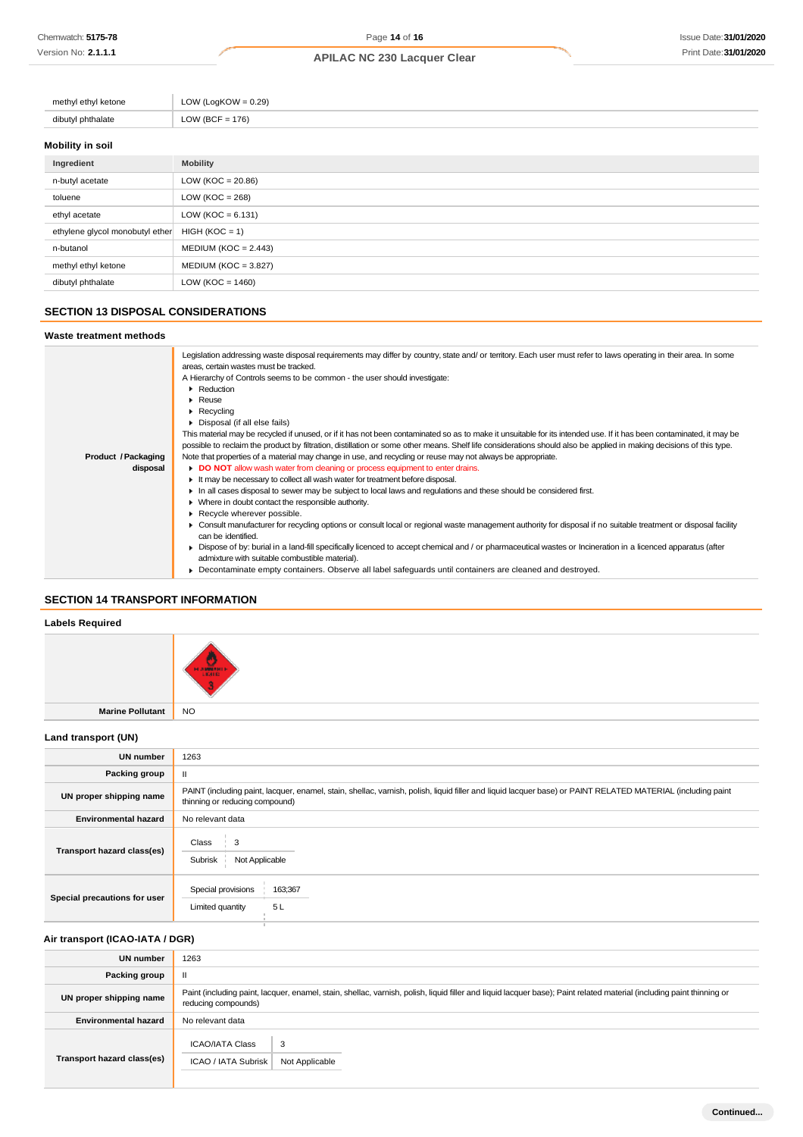| methyl ethyl ketone         | LOW (LogKOW = $0.29$ ) |
|-----------------------------|------------------------|
| dibutyl phthalate<br>ιαιαισ | LOW (BCF = $176$ )     |
|                             |                        |

# **Mobility in soil**

| Ingredient                      | <b>Mobility</b>        |
|---------------------------------|------------------------|
| n-butyl acetate                 | LOW ( $KOC = 20.86$ )  |
| toluene                         | LOW ( $KOC = 268$ )    |
| ethyl acetate                   | LOW ( $KOC = 6.131$ )  |
| ethylene glycol monobutyl ether | $HIGH (KOC = 1)$       |
| n-butanol                       | $MEDIUM (KOC = 2.443)$ |
| methyl ethyl ketone             | $MEDIUM (KOC = 3.827)$ |
| dibutyl phthalate               | LOW ( $KOC = 1460$ )   |

## **SECTION 13 DISPOSAL CONSIDERATIONS**

#### **Waste treatment methods**

|                     | Legislation addressing waste disposal requirements may differ by country, state and/ or territory. Each user must refer to laws operating in their area. In some<br>areas, certain wastes must be tracked.<br>A Hierarchy of Controls seems to be common - the user should investigate:<br>Reduction<br>$\blacktriangleright$ Reuse |
|---------------------|-------------------------------------------------------------------------------------------------------------------------------------------------------------------------------------------------------------------------------------------------------------------------------------------------------------------------------------|
|                     | $\blacktriangleright$ Recycling                                                                                                                                                                                                                                                                                                     |
|                     | Disposal (if all else fails)                                                                                                                                                                                                                                                                                                        |
|                     | This material may be recycled if unused, or if it has not been contaminated so as to make it unsuitable for its intended use. If it has been contaminated, it may be                                                                                                                                                                |
|                     | possible to reclaim the product by filtration, distillation or some other means. Shelf life considerations should also be applied in making decisions of this type.                                                                                                                                                                 |
| Product / Packaging | Note that properties of a material may change in use, and recycling or reuse may not always be appropriate.                                                                                                                                                                                                                         |
| disposal            | DO NOT allow wash water from cleaning or process equipment to enter drains.                                                                                                                                                                                                                                                         |
|                     | It may be necessary to collect all wash water for treatment before disposal.                                                                                                                                                                                                                                                        |
|                     | In all cases disposal to sewer may be subject to local laws and regulations and these should be considered first.                                                                                                                                                                                                                   |
|                     | • Where in doubt contact the responsible authority.                                                                                                                                                                                                                                                                                 |
|                     | Recycle wherever possible.                                                                                                                                                                                                                                                                                                          |
|                     | ► Consult manufacturer for recycling options or consult local or regional waste management authority for disposal if no suitable treatment or disposal facility                                                                                                                                                                     |
|                     | can be identified.                                                                                                                                                                                                                                                                                                                  |
|                     | ► Dispose of by: burial in a land-fill specifically licenced to accept chemical and / or pharmaceutical wastes or Incineration in a licenced apparatus (after                                                                                                                                                                       |
|                     | admixture with suitable combustible material).                                                                                                                                                                                                                                                                                      |
|                     | • Decontaminate empty containers. Observe all label safeguards until containers are cleaned and destroyed.                                                                                                                                                                                                                          |

# **SECTION 14 TRANSPORT INFORMATION**

# **Labels Required**

| Labois itoquitoa    |                      |
|---------------------|----------------------|
|                     | 7 ж<br><b>HANGER</b> |
| Marine Pollutant NO |                      |

## **Land transport (UN)**

| <b>UN number</b>             | 1263                                                                                                                                                                                          |  |
|------------------------------|-----------------------------------------------------------------------------------------------------------------------------------------------------------------------------------------------|--|
| Packing group                | Ш.                                                                                                                                                                                            |  |
| UN proper shipping name      | PAINT (including paint, lacquer, enamel, stain, shellac, varnish, polish, liquid filler and liquid lacquer base) or PAINT RELATED MATERIAL (including paint<br>thinning or reducing compound) |  |
| <b>Environmental hazard</b>  | No relevant data                                                                                                                                                                              |  |
| Transport hazard class(es)   | Class<br>3<br>Subrisk<br>Not Applicable                                                                                                                                                       |  |
| Special precautions for user | Special provisions<br>163;367<br>5L<br>Limited quantity                                                                                                                                       |  |

# **Air transport (ICAO-IATA / DGR)**

| <b>UN number</b>            | 1263                                                                                                                                                                                         |  |
|-----------------------------|----------------------------------------------------------------------------------------------------------------------------------------------------------------------------------------------|--|
| Packing group               | $\mathbf{I}$                                                                                                                                                                                 |  |
| UN proper shipping name     | Paint (including paint, lacquer, enamel, stain, shellac, varnish, polish, liquid filler and liquid lacquer base); Paint related material (including paint thinning or<br>reducing compounds) |  |
| <b>Environmental hazard</b> | No relevant data                                                                                                                                                                             |  |
| Transport hazard class(es)  | <b>ICAO/IATA Class</b><br>3<br>ICAO / IATA Subrisk<br>Not Applicable                                                                                                                         |  |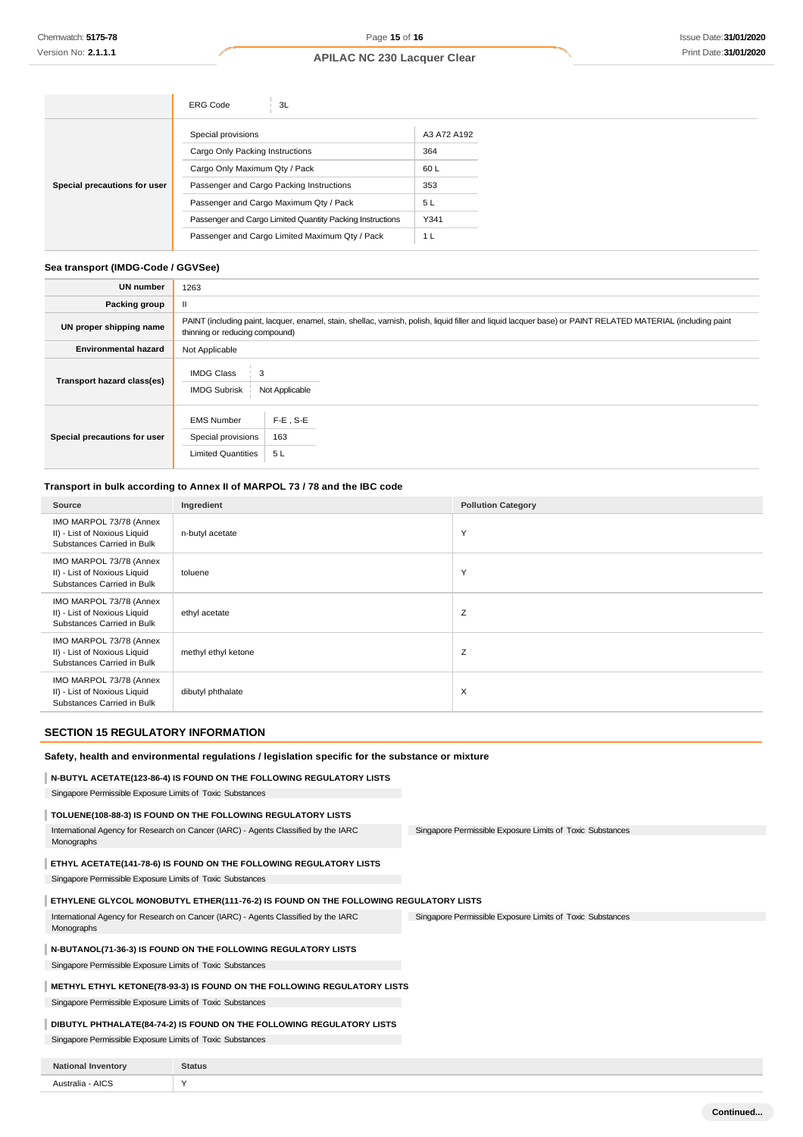|                              | 3L<br><b>ERG Code</b>                                     |                |
|------------------------------|-----------------------------------------------------------|----------------|
|                              | Special provisions                                        | A3 A72 A192    |
|                              | Cargo Only Packing Instructions                           | 364            |
|                              | Cargo Only Maximum Qty / Pack                             | 60 L           |
| Special precautions for user | Passenger and Cargo Packing Instructions                  | 353            |
|                              | Passenger and Cargo Maximum Qty / Pack                    | 5 L            |
|                              | Passenger and Cargo Limited Quantity Packing Instructions | Y341           |
|                              | Passenger and Cargo Limited Maximum Qty / Pack            | 1 <sub>L</sub> |

### **Sea transport (IMDG-Code / GGVSee)**

| <b>UN number</b>             | 1263                                                                                                                                                                                          |  |
|------------------------------|-----------------------------------------------------------------------------------------------------------------------------------------------------------------------------------------------|--|
| Packing group                |                                                                                                                                                                                               |  |
| UN proper shipping name      | PAINT (including paint, lacquer, enamel, stain, shellac, varnish, polish, liquid filler and liquid lacquer base) or PAINT RELATED MATERIAL (including paint<br>thinning or reducing compound) |  |
| <b>Environmental hazard</b>  | Not Applicable                                                                                                                                                                                |  |
| Transport hazard class(es)   | <b>IMDG Class</b><br>3<br><b>IMDG Subrisk</b><br>Not Applicable                                                                                                                               |  |
| Special precautions for user | $F-E$ , S-E<br><b>EMS Number</b><br>Special provisions<br>163<br><b>Limited Quantities</b><br>5L                                                                                              |  |

# **Transport in bulk according to Annex II of MARPOL 73 / 78 and the IBC code**

| Source                                                                                | Ingredient          | <b>Pollution Category</b> |
|---------------------------------------------------------------------------------------|---------------------|---------------------------|
| IMO MARPOL 73/78 (Annex<br>II) - List of Noxious Liquid<br>Substances Carried in Bulk | n-butyl acetate     | Y                         |
| IMO MARPOL 73/78 (Annex<br>II) - List of Noxious Liquid<br>Substances Carried in Bulk | toluene             | Y                         |
| IMO MARPOL 73/78 (Annex<br>II) - List of Noxious Liquid<br>Substances Carried in Bulk | ethyl acetate       | Z                         |
| IMO MARPOL 73/78 (Annex<br>II) - List of Noxious Liquid<br>Substances Carried in Bulk | methyl ethyl ketone | Z                         |
| IMO MARPOL 73/78 (Annex<br>II) - List of Noxious Liquid<br>Substances Carried in Bulk | dibutyl phthalate   | $\times$                  |

## **SECTION 15 REGULATORY INFORMATION**

#### **Safety, health and environmental regulations / legislation specific for the substance or mixture**

# **N-BUTYL ACETATE(123-86-4) IS FOUND ON THE FOLLOWING REGULATORY LISTS**

Singapore Permissible Exposure Limits of Toxic Substances

## **TOLUENE(108-88-3) IS FOUND ON THE FOLLOWING REGULATORY LISTS**

Singapore Permissible Exposure Limits of Toxic Substances International Agency for Research on Cancer (IARC) - Agents Classified by the IARC Monographs

## **ETHYL ACETATE(141-78-6) IS FOUND ON THE FOLLOWING REGULATORY LISTS**

Singapore Permissible Exposure Limits of Toxic Substances

## **ETHYLENE GLYCOL MONOBUTYL ETHER(111-76-2) IS FOUND ON THE FOLLOWING REGULATORY LISTS**

Singapore Permissible Exposure Limits of Toxic Substances International Agency for Research on Cancer (IARC) - Agents Classified by the IARC Monographs

## **N-BUTANOL(71-36-3) IS FOUND ON THE FOLLOWING REGULATORY LISTS**

Singapore Permissible Exposure Limits of Toxic Substances

## **METHYL ETHYL KETONE(78-93-3) IS FOUND ON THE FOLLOWING REGULATORY LISTS**

Singapore Permissible Exposure Limits of Toxic Substances

## **DIBUTYL PHTHALATE(84-74-2) IS FOUND ON THE FOLLOWING REGULATORY LISTS**

Singapore Permissible Exposure Limits of Toxic Substances

| <b>Nation</b><br>rentor | Status |
|-------------------------|--------|
| Australia - AICS        |        |
|                         | $\sim$ |
| .                       |        |